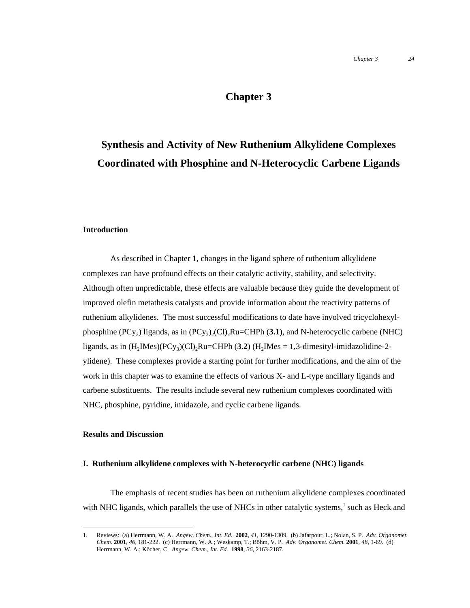## **Chapter 3**

# **Synthesis and Activity of New Ruthenium Alkylidene Complexes Coordinated with Phosphine and N-Heterocyclic Carbene Ligands**

### **Introduction**

As described in Chapter 1, changes in the ligand sphere of ruthenium alkylidene complexes can have profound effects on their catalytic activity, stability, and selectivity. Although often unpredictable, these effects are valuable because they guide the development of improved olefin metathesis catalysts and provide information about the reactivity patterns of ruthenium alkylidenes. The most successful modifications to date have involved tricyclohexylphosphine  $(PCy_3)$  ligands, as in  $(PCy_3)_2(Cl)_2Ru=CHPh$  (3.1), and N-heterocyclic carbene (NHC) ligands, as in  $(H_2IMes)(PCy_3)(Cl)_2Ru=CHPh (3.2) (H_2IMes = 1,3-dimensional -r.$ ylidene). These complexes provide a starting point for further modifications, and the aim of the work in this chapter was to examine the effects of various X- and L-type ancillary ligands and carbene substituents. The results include several new ruthenium complexes coordinated with NHC, phosphine, pyridine, imidazole, and cyclic carbene ligands.

### **Results and Discussion**

### **I. Ruthenium alkylidene complexes with N-heterocyclic carbene (NHC) ligands**

The emphasis of recent studies has been on ruthenium alkylidene complexes coordinated with NHC ligands, which parallels the use of NHCs in other catalytic systems,<sup>1</sup> such as Heck and

 <sup>1.</sup> Reviews: (a) Herrmann, W. A. *Angew. Chem., Int. Ed.* **<sup>2002</sup>**, *41*, 1290-1309. (b) Jafarpour, L.; Nolan, S. P. *Adv. Organomet. Chem.* **2001**, *46*, 181-222. (c) Herrmann, W. A.; Weskamp, T.; Böhm, V. P. *Adv. Organomet. Chem.* **2001**, *48*, 1-69. (d) Herrmann, W. A.; Köcher, C. *Angew. Chem., Int. Ed.* **1998**, *36*, 2163-2187.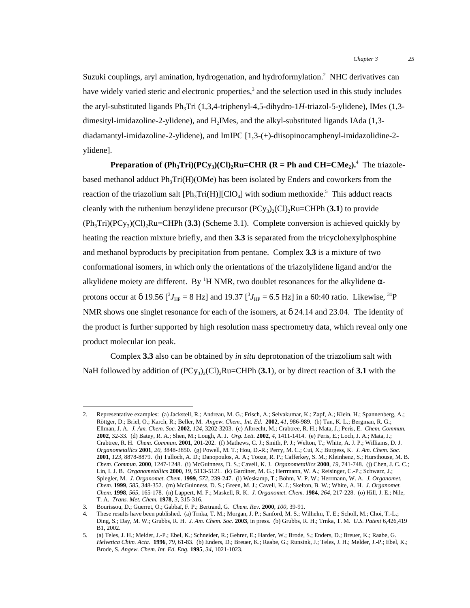Suzuki couplings, aryl amination, hydrogenation, and hydroformylation.<sup>2</sup> NHC derivatives can have widely varied steric and electronic properties,<sup>3</sup> and the selection used in this study includes the aryl-substituted ligands Ph<sub>3</sub>Tri (1,3,4-triphenyl-4,5-dihydro-1*H*-triazol-5-ylidene), IMes (1,3dimesityl-imidazoline-2-ylidene), and  $H_2$ IMes, and the alkyl-substituted ligands IAda (1,3diadamantyl-imidazoline-2-ylidene), and ImIPC [1,3-(+)-diisopinocamphenyl-imidazolidine-2 ylidene].

**Preparation of**  $(\text{Ph}_3\text{Tri})(\text{PCy}_3)(\text{Cl})_2\text{Ru}=\text{CHR}$  **(** $\text{R} = \text{Ph}$  **and**  $\text{CH}=\text{CMe}_2$ **).<sup>4</sup> The triazole**based methanol adduct  $Ph<sub>3</sub>Tri(H)(OMe)$  has been isolated by Enders and coworkers from the reaction of the triazolium salt  $[Ph_3Tri(H)][ClO_4]$  with sodium methoxide.<sup>5</sup> This adduct reacts cleanly with the ruthenium benzylidene precursor  $(PC_{y3})_2(Cl)$ <sub>2</sub>Ru=CHPh (3.1) to provide  $(Ph<sub>3</sub>Tri)(PCy<sub>3</sub>)(Cl)<sub>2</sub>Ru=CHPh (3.3)$  (Scheme 3.1). Complete conversion is achieved quickly by heating the reaction mixture briefly, and then **3.3** is separated from the tricyclohexylphosphine and methanol byproducts by precipitation from pentane. Complex **3.3** is a mixture of two conformational isomers, in which only the orientations of the triazolylidene ligand and/or the alkylidene moiety are different. By <sup>1</sup>H NMR, two doublet resonances for the alkylidene  $\alpha$ protons occur at δ 19.56 [<sup>3</sup> $J_{HP}$  = 8 Hz] and 19.37 [<sup>3</sup> $J_{HP}$  = 6.5 Hz] in a 60:40 ratio. Likewise, <sup>31</sup>P NMR shows one singlet resonance for each of the isomers, at  $\delta$  24.14 and 23.04. The identity of the product is further supported by high resolution mass spectrometry data, which reveal only one product molecular ion peak.

Complex **3.3** also can be obtained by *in situ* deprotonation of the triazolium salt with NaH followed by addition of  $(PCy_3)_2(Cl)_2Ru=CHPh (3.1)$ , or by direct reaction of 3.1 with the

 <sup>2.</sup> Representative examples: (a) Jackstell, R.; Andreau, M. G.; Frisch, A.; Selvakumar, K.; Zapf, A.; Klein, H.; Spannenberg, A.; Röttger, D.; Briel, O.; Karch, R.; Beller, M. *Angew. Chem., Int. Ed.* **2002**, *41*, 986-989. (b) Tan, K. L.; Bergman, R. G.; Ellman, J. A. *J. Am. Chem. Soc.* **2002**, *124*, 3202-3203. (c) Albrecht, M.; Crabtree, R. H.; Mata, J.; Peris, E. *Chem. Commun.* **2002**, 32-33. (d) Batey, R. A.; Shen, M.; Lough, A. J. *Org. Lett.* **2002**, *4*, 1411-1414. (e) Peris, E.; Loch, J. A.; Mata, J.; Crabtree, R. H. *Chem. Commun.* **2001**, 201-202. (f) Mathews, C. J.; Smith, P. J.; Welton, T.; White, A. J. P.; Williams, D. J. *Organometallics* **2001**, *20*, 3848-3850. (g) Powell, M. T.; Hou, D.-R.; Perry, M. C.; Cui, X.; Burgess, K. *J. Am. Chem. Soc.* **2001**, *123*, 8878-8879. (h) Tulloch, A. D.; Danopoulos, A. A.; Tooze, R. P.; Cafferkey, S. M.; Kleinhenz, S.; Hursthouse, M. B. *Chem. Commun.* **2000**, 1247-1248. (i) McGuinness, D. S.; Cavell, K. J. *Organometallics* **2000**, *19*, 741-748. (j) Chen, J. C. C.; Lin, I. J. B. *Organometallics* **2000**, *19*, 5113-5121. (k) Gardiner, M. G.; Herrmann, W. A.; Reisinger, C.-P.; Schwarz, J.; Spiegler, M. *J. Organomet. Chem.* **1999**, *572*, 239-247. (l) Weskamp, T.; Böhm, V. P. W.; Herrmann, W. A. *J. Organomet. Chem.* **1999**, *585*, 348-352. (m) McGuinness, D. S.; Green, M. J.; Cavell, K. J.; Skelton, B. W.; White, A. H. *J. Organomet. Chem.* **1998**, *565*, 165-178. (n) Lappert, M. F.; Maskell, R. K. *J. Organomet. Chem.* **1984**, *264*, 217-228. (o) Hill, J. E.; Nile, T. A. *Trans. Met. Chem.* **1978**, *3*, 315-316.

<sup>3.</sup> Bourissou, D.; Guerret, O.; Gabbaï, F. P.; Bertrand, G. *Chem. Rev.* **2000**, *100*, 39-91.

<sup>4.</sup> These results have been published. (a) Trnka, T. M.; Morgan, J. P.; Sanford, M. S.; Wilhelm, T. E.; Scholl, M.; Choi, T.-L.; Ding, S.; Day, M. W.; Grubbs, R. H. *J. Am. Chem. Soc.* **2003**, in press. (b) Grubbs, R. H.; Trnka, T. M. *U.S. Patent* 6,426,419 B1, 2002.

<sup>5.</sup> (a) Teles, J. H.; Melder, J.-P.; Ebel, K.; Schneider, R.; Gehrer, E.; Harder, W.; Brode, S.; Enders, D.; Breuer, K.; Raabe, G. *Helvetica Chim. Acta.* **1996**, *79*, 61-83. (b) Enders, D.; Breuer, K.; Raabe, G.; Runsink, J.; Teles, J. H.; Melder, J.-P.; Ebel, K.; Brode, S. *Angew. Chem. Int. Ed. Eng.* **1995**, *34*, 1021-1023.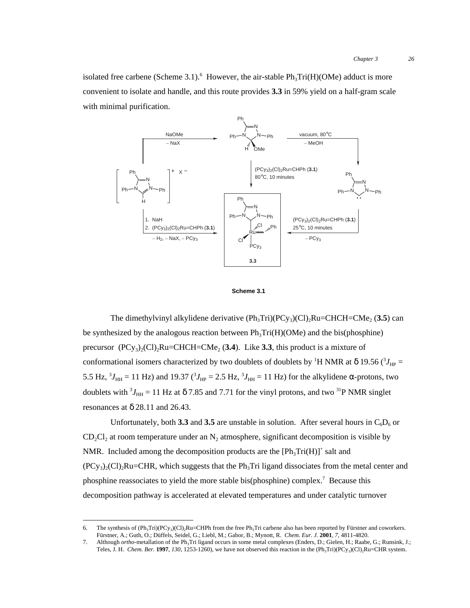isolated free carbene (Scheme 3.1). <sup>6</sup> However, the air-stable  $Ph_3Tri(H)(OMe)$  adduct is more convenient to isolate and handle, and this route provides **3.3** in 59% yield on a half-gram scale with minimal purification.





The dimethylvinyl alkylidene derivative  $(Ph_3Tri)(PCy_3)(Cl)_2Ru=CHCH=CMe_2 (3.5)$  can be synthesized by the analogous reaction between  $Ph_3Tri(H)(OMe)$  and the bis(phosphine) precursor  $(PCy_3)_2(Cl)_2Ru=CHCH=CMe_2(3.4)$ . Like 3.3, this product is a mixture of conformational isomers characterized by two doublets of doublets by <sup>1</sup>H NMR at δ 19.56 ( $^3J_{\text{HP}}$  = 5.5 Hz,  ${}^{3}J_{\text{HH}}$  = 11 Hz) and 19.37 ( ${}^{3}J_{\text{HP}}$  = 2.5 Hz,  ${}^{3}J_{\text{HH}}$  = 11 Hz) for the alkylidene α-protons, two doublets with  ${}^{3}J_{\text{HH}} = 11$  Hz at  $\delta$  7.85 and 7.71 for the vinyl protons, and two  ${}^{31}P$  NMR singlet resonances at  $\delta$  28.11 and 26.43.

Unfortunately, both 3.3 and 3.5 are unstable in solution. After several hours in  $C_6D_6$  or  $CD_2Cl_2$  at room temperature under an N<sub>2</sub> atmosphere, significant decomposition is visible by NMR. Included among the decomposition products are the  $[Ph_3Tri(H)]^+$  salt and  $(PCy_3)_{2}$ (Cl)<sub>2</sub>Ru=CHR, which suggests that the Ph<sub>3</sub>Tri ligand dissociates from the metal center and phosphine reassociates to yield the more stable bis(phosphine) complex.<sup>7</sup> Because this decomposition pathway is accelerated at elevated temperatures and under catalytic turnover

<sup>6.</sup> The synthesis of  $(\text{Ph}_3\text{Tri})(\text{PCy}_3)(\text{Cl})_2\text{Ru}=CHPh$  from the free  $\text{Ph}_3\text{Tri}$  carbene also has been reported by Fürstner and coworkers. Fürstner, A.; Guth, O.; Düffels, Seidel, G.; Liebl, M.; Gabor, B.; Mynott, R. *Chem. Eur. J.* **2001**, *7*, 4811-4820.

<sup>7.</sup> Although *ortho*-metallation of the Ph<sub>3</sub>Tri ligand occurs in some metal complexes (Enders, D.; Gielen, H.; Raabe, G.; Runsink, J.; Teles, J. H. *Chem. Ber.* **1997**, 130, 1253-1260), we have not observed this reaction in the  $(Ph_3Tri)(PCy_3)(Cl)_2Ru=CHR$  system.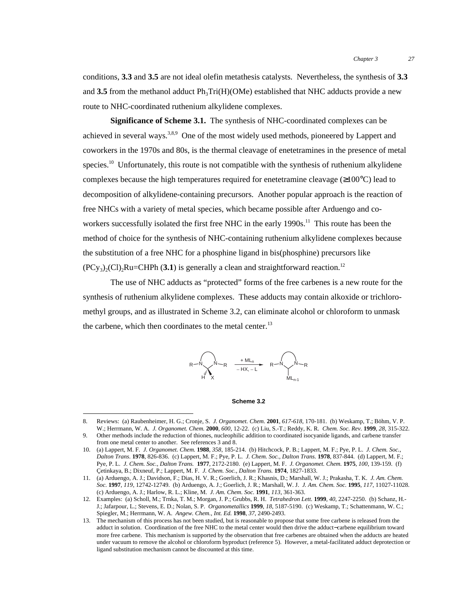conditions, **3.3** and **3.5** are not ideal olefin metathesis catalysts. Nevertheless, the synthesis of **3.3** and **3.5** from the methanol adduct  $Ph_3Tri(H)(OMe)$  established that NHC adducts provide a new route to NHC-coordinated ruthenium alkylidene complexes.

**Significance of Scheme 3.1.** The synthesis of NHC-coordinated complexes can be achieved in several ways.<sup>3,8,9</sup> One of the most widely used methods, pioneered by Lappert and coworkers in the 1970s and 80s, is the thermal cleavage of enetetramines in the presence of metal species.<sup>10</sup> Unfortunately, this route is not compatible with the synthesis of ruthenium alkylidene complexes because the high temperatures required for enetetramine cleavage ( $\geq 100^{\circ}$ C) lead to decomposition of alkylidene-containing precursors. Another popular approach is the reaction of free NHCs with a variety of metal species, which became possible after Arduengo and coworkers successfully isolated the first free NHC in the early 1990s.<sup>11</sup> This route has been the method of choice for the synthesis of NHC-containing ruthenium alkylidene complexes because the substitution of a free NHC for a phosphine ligand in bis(phosphine) precursors like  $(PC_{V_3}$ <sub>2</sub>(Cl)<sub>2</sub>Ru=CHPh (3.1) is generally a clean and straightforward reaction.<sup>12</sup>

The use of NHC adducts as "protected" forms of the free carbenes is a new route for the synthesis of ruthenium alkylidene complexes. These adducts may contain alkoxide or trichloromethyl groups, and as illustrated in Scheme 3.2, can eliminate alcohol or chloroform to unmask the carbene, which then coordinates to the metal center.<sup>13</sup>



### **Scheme 3.2**

 <sup>8.</sup> Reviews: (a) Raubenheimer, H. G.; Cronje, S. *J. Organomet. Chem.* **<sup>2001</sup>**, *617-618*, 170-181. (b) Weskamp, T.; Böhm, V. P. W.; Herrmann, W. A. *J. Organomet. Chem.* **2000**, *600*, 12-22. (c) Liu, S.-T.; Reddy, K. R. *Chem. Soc. Rev.* **1999**, *28*, 315-322.

<sup>9.</sup> Other methods include the reduction of thiones, nucleophilic addition to coordinated isocyanide ligands, and carbene transfer from one metal center to another. See references 3 and 8.

<sup>10.</sup> (a) Lappert, M. F. *J. Organomet. Chem.* **1988**, *358*, 185-214. (b) Hitchcock, P. B.; Lappert, M. F.; Pye, P. L. *J. Chem. Soc., Dalton Trans.* **1978**, 826-836. (c) Lappert, M. F.; Pye, P. L. *J. Chem. Soc., Dalton Trans.* **1978**, 837-844. (d) Lappert, M. F.; Pye, P. L. *J. Chem. Soc., Dalton Trans.* **1977**, 2172-2180. (e) Lappert, M. F. *J. Organomet. Chem.* **1975**, *100*, 139-159. (f) Çetinkaya, B.; Dixneuf, P.; Lappert, M. F. *J. Chem. Soc., Dalton Trans.* **1974**, 1827-1833.

<sup>11.</sup> (a) Arduengo, A. J.; Davidson, F.; Dias, H. V. R.; Goerlich, J. R.; Khasnis, D.; Marshall, W. J.; Prakasha, T. K. *J. Am. Chem. Soc.* **1997**, *119*, 12742-12749. (b) Arduengo, A. J.; Goerlich, J. R.; Marshall, W. J. *J. Am. Chem. Soc.* **1995**, *117*, 11027-11028. (c) Arduengo, A. J.; Harlow, R. L.; Kline, M. *J. Am. Chem. Soc.* **1991**, *113*, 361-363.

<sup>12.</sup> Examples: (a) Scholl, M.; Trnka, T. M.; Morgan, J. P.; Grubbs, R. H. *Tetrahedron Lett.* **1999**, *40*, 2247-2250. (b) Schanz, H.- J.; Jafarpour, L.; Stevens, E. D.; Nolan, S. P. *Organometallics* **1999**, *18*, 5187-5190. (c) Weskamp, T.; Schattenmann, W. C.; Spiegler, M.; Herrmann, W. A. *Angew. Chem., Int. Ed.* **1998**, *37*, 2490-2493.

<sup>13.</sup> The mechanism of this process has not been studied, but is reasonable to propose that some free carbene is released from the adduct in solution. Coordination of the free NHC to the metal center would then drive the adduct−carbene equilibrium toward more free carbene. This mechanism is supported by the observation that free carbenes are obtained when the adducts are heated under vacuum to remove the alcohol or chloroform byproduct (reference 5). However, a metal-facilitated adduct deprotection or ligand substitution mechanism cannot be discounted at this time.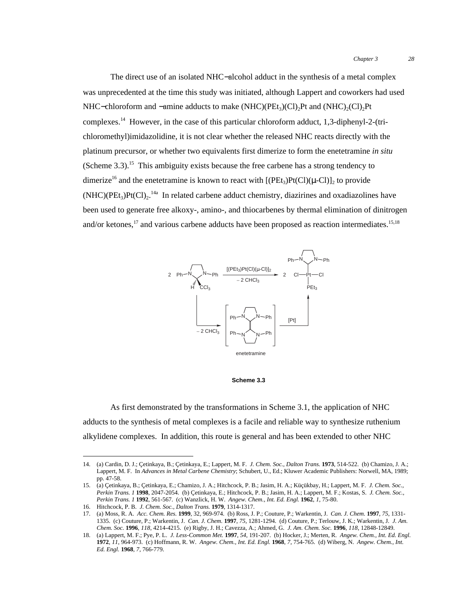The direct use of an isolated NHC−alcohol adduct in the synthesis of a metal complex was unprecedented at the time this study was initiated, although Lappert and coworkers had used NHC−chloroform and −amine adducts to make (NHC)( $PEt_3$ )(Cl)<sub>2</sub>Pt and (NHC)<sub>2</sub>(Cl)<sub>2</sub>Pt complexes.14 However, in the case of this particular chloroform adduct, 1,3-diphenyl-2-(trichloromethyl)imidazolidine, it is not clear whether the released NHC reacts directly with the platinum precursor, or whether two equivalents first dimerize to form the enetetramine *in situ* (Scheme  $3.3$ ).<sup>15</sup> This ambiguity exists because the free carbene has a strong tendency to dimerize<sup>16</sup> and the enetetramine is known to react with  $[(PEt<sub>3</sub>)Pt(Cl)(\mu-Cl)]<sub>2</sub>$  to provide  $(NHC)(PEt<sub>3</sub>)Pt(Cl)<sub>2</sub>$ .<sup>14a</sup> In related carbene adduct chemistry, diazirines and oxadiazolines have been used to generate free alkoxy-, amino-, and thiocarbenes by thermal elimination of dinitrogen and/or ketones,<sup>17</sup> and various carbene adducts have been proposed as reaction intermediates.<sup>15,18</sup>



### **Scheme 3.3**

As first demonstrated by the transformations in Scheme 3.1, the application of NHC adducts to the synthesis of metal complexes is a facile and reliable way to synthesize ruthenium alkylidene complexes. In addition, this route is general and has been extended to other NHC

 <sup>14.</sup> (a) Cardin, D. J.; Çetinkaya, B.; Çetinkaya, E.; Lappert, M. F. *J. Chem. Soc., Dalton Trans.* **<sup>1973</sup>**, 514-522. (b) Chamizo, J. A.; Lappert, M. F. In *Advances in Metal Carbene Chemistry*; Schubert, U., Ed.; Kluwer Academic Publishers: Norwell, MA, 1989; pp. 47-58.

<sup>15.</sup> (a) Çetinkaya, B.; Çetinkaya, E.; Chamizo, J. A.; Hitchcock, P. B.; Jasim, H. A.; Küçükbay, H.; Lappert, M. F. *J. Chem. Soc., Perkin Trans. 1* **1998**, 2047-2054. (b) Çetinkaya, E.; Hitchcock, P. B.; Jasim, H. A.; Lappert, M. F.; Kostas, S. *J. Chem. Soc., Perkin Trans. 1* **1992**, 561-567. (c) Wanzlick, H. W. *Angew. Chem., Int. Ed. Engl.* **1962**, *1*, 75-80.

<sup>16.</sup> Hitchcock, P. B. *J. Chem. Soc., Dalton Trans.* **1979**, 1314-1317.

<sup>17.</sup> (a) Moss, R. A. *Acc. Chem. Res.* **1999**, 32, 969-974. (b) Ross, J. P.; Couture, P.; Warkentin, J. *Can. J. Chem.* **1997**, *75*, 1331- 1335. (c) Couture, P.; Warkentin, J. *Can. J. Chem.* **1997**, *75*, 1281-1294. (d) Couture, P.; Terlouw, J. K.; Warkentin, J. *J. Am. Chem. Soc.* **1996**, *118*, 4214-4215. (e) Rigby, J. H.; Cavezza, A.; Ahmed, G. *J. Am. Chem. Soc.* **1996**, *118*, 12848-12849.

<sup>18.</sup> (a) Lappert, M. F.; Pye, P. L. *J. Less-Common Met.* **1997**, *54*, 191-207. (b) Hocker, J.; Merten, R. *Angew. Chem., Int. Ed. Engl.* **1972**, *11*, 964-973. (c) Hoffmann, R. W. *Angew. Chem., Int. Ed. Engl.* **1968**, *7*, 754-765. (d) Wiberg, N. *Angew. Chem., Int. Ed. Engl.* **1968**, *7*, 766-779.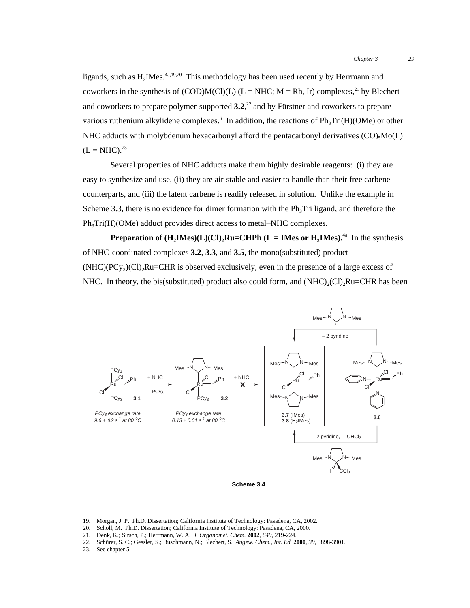ligands, such as  $H_2$ IMes.<sup>4a,19,20</sup> This methodology has been used recently by Herrmann and coworkers in the synthesis of (COD)M(Cl)(L) (L = NHC; M = Rh, Ir) complexes,<sup>21</sup> by Blechert and coworkers to prepare polymer-supported  $3.2$ ,<sup>22</sup> and by Fürstner and coworkers to prepare various ruthenium alkylidene complexes.<sup>6</sup> In addition, the reactions of  $Ph_3Tri(H)(OMe)$  or other NHC adducts with molybdenum hexacarbonyl afford the pentacarbonyl derivatives  $(CO)_{5}Mo(L)$  $(L = NHC).^{23}$ 

Several properties of NHC adducts make them highly desirable reagents: (i) they are easy to synthesize and use, (ii) they are air-stable and easier to handle than their free carbene counterparts, and (iii) the latent carbene is readily released in solution. Unlike the example in Scheme 3.3, there is no evidence for dimer formation with the  $Ph_3Tri$  ligand, and therefore the  $Ph<sub>3</sub>Tri(H)(OMe)$  adduct provides direct access to metal–NHC complexes.

**Preparation of**  $(H_2IMes)(L)(Cl)_2Ru=CHPh (L = IMes or H_2IMes).$ <sup>4a</sup> In the synthesis of NHC-coordinated complexes **3.2**, **3.3**, and **3.5**, the mono(substituted) product  $(NHC)(PC_{y3})(Cl)$ <sub>2</sub>Ru=CHR is observed exclusively, even in the presence of a large excess of NHC. In theory, the bis(substituted) product also could form, and  $(NHC)_{2}(Cl)_{2}Ru=CHR$  has been



**Scheme 3.4**

23. See chapter 5.

 <sup>19.</sup> Morgan, J. P. Ph.D. Dissertation; California Institute of Technology: Pasadena, CA, 2002.

<sup>20.</sup> Scholl, M. Ph.D. Dissertation; California Institute of Technology: Pasadena, CA, 2000.

<sup>21.</sup> Denk, K.; Sirsch, P.; Herrmann, W. A. *J. Organomet. Chem.* **2002**, *649*, 219-224.

<sup>22.</sup> Schürer, S. C.; Gessler, S.; Buschmann, N.; Blechert, S. *Angew. Chem., Int. Ed.* **2000**, *39*, 3898-3901.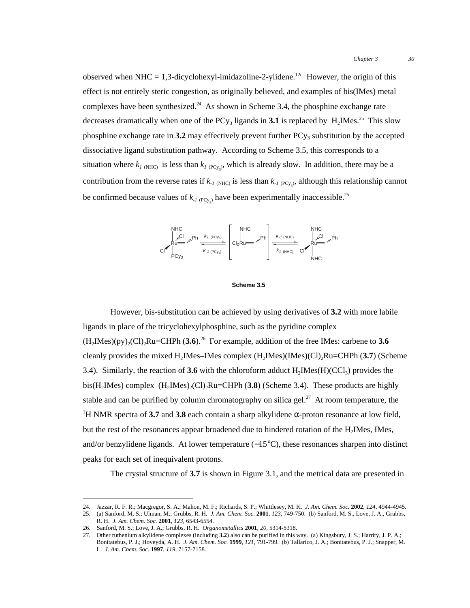observed when NHC = 1,3-dicyclohexyl-imidazoline-2-ylidene.<sup>12c</sup> However, the origin of this effect is not entirely steric congestion, as originally believed, and examples of bis(IMes) metal complexes have been synthesized.<sup>24</sup> As shown in Scheme 3.4, the phosphine exchange rate decreases dramatically when one of the PCy<sub>3</sub> ligands in **3.1** is replaced by  $H_2$ IMes.<sup>25</sup> This slow phosphine exchange rate in  $3.2$  may effectively prevent further  $PC_{y_3}$  substitution by the accepted dissociative ligand substitution pathway. According to Scheme 3.5, this corresponds to a situation where  $k_{I(NHC)}$  is less than  $k_{I(PCy_3)}$ , which is already slow. In addition, there may be a contribution from the reverse rates if  $k_{-1 \text{ (NHC)}}$  is less than  $k_{-1 \text{ (PCy}_3)}$ , although this relationship cannot be confirmed because values of  $k_{\text{1 (PCy)} }$  have been experimentally inaccessible.<sup>25</sup>



#### **Scheme 3.5**

However, bis-substitution can be achieved by using derivatives of **3.2** with more labile ligands in place of the tricyclohexylphosphine, such as the pyridine complex  $(H_2Mes)(py)_{2}(Cl)_{2}Ru=CHPh (3.6).^{26}$  For example, addition of the free IMes: carbene to 3.6 cleanly provides the mixed H2IMes–IMes complex (H2IMes)(IMes)(Cl)2Ru=CHPh (**3.7**) (Scheme 3.4). Similarly, the reaction of **3.6** with the chloroform adduct  $H_2$ IMes( $H$ )(CCl<sub>3</sub>) provides the bis(H<sub>2</sub>IMes) complex (H<sub>2</sub>IMes)<sub>2</sub>(Cl)<sub>2</sub>Ru=CHPh (**3.8**) (Scheme 3.4). These products are highly stable and can be purified by column chromatography on silica gel.<sup>27</sup> At room temperature, the <sup>1</sup>H NMR spectra of 3.7 and 3.8 each contain a sharp alkylidene  $\alpha$ -proton resonance at low field, but the rest of the resonances appear broadened due to hindered rotation of the  $H<sub>2</sub>$ IMes, IMes, and/or benzylidene ligands. At lower temperature (−15°C), these resonances sharpen into distinct peaks for each set of inequivalent protons.

The crystal structure of **3.7** is shown in Figure 3.1, and the metrical data are presented in

 <sup>24.</sup> Jazzar, R. F. R.; Macgregor, S. A.; Mahon, M. F.; Richards, S. P.; Whittlesey, M. K. *J. Am. Chem. Soc.* **<sup>2002</sup>**, *124*, 4944-4945.

<sup>25.</sup> (a) Sanford, M. S.; Ulman, M.; Grubbs, R. H. *J. Am. Chem. Soc.* **2001**, *123*, 749-750. (b) Sanford, M. S., Love, J. A., Grubbs, R. H. *J. Am. Chem. Soc.* **2001**, *123*, 6543-6554.

<sup>26.</sup> Sanford, M. S.; Love, J. A.; Grubbs, R. H. *Organometallics* **2001**, *20*, 5314-5318.

<sup>27.</sup> Other ruthenium alkylidene complexes (including **3.2**) also can be purified in this way. (a) Kingsbury, J. S.; Harrity, J. P. A.; Bonitatebus, P. J.; Hoveyda, A. H. *J. Am. Chem. Soc.* **1999**, *121*, 791-799. (b) Tallarico, J. A.; Bonitatebus, P. J.; Snapper, M. L. *J. Am. Chem. Soc.* **1997**, *119*, 7157-7158.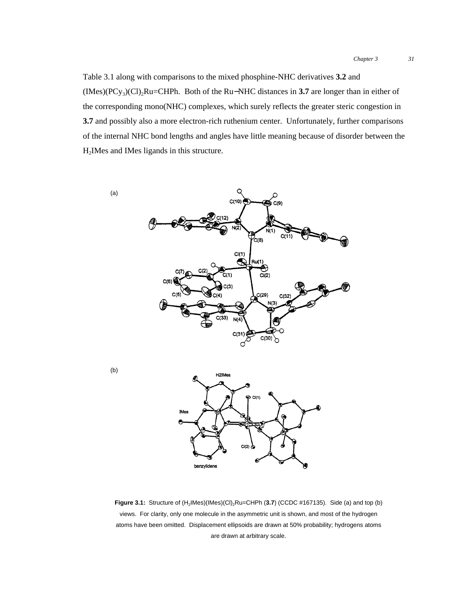Table 3.1 along with comparisons to the mixed phosphine-NHC derivatives **3.2** and (IMes)(PCy3)(Cl)2Ru=CHPh. Both of the Ru−NHC distances in **3.7** are longer than in either of the corresponding mono(NHC) complexes, which surely reflects the greater steric congestion in **3.7** and possibly also a more electron-rich ruthenium center. Unfortunately, further comparisons of the internal NHC bond lengths and angles have little meaning because of disorder between the H2IMes and IMes ligands in this structure.



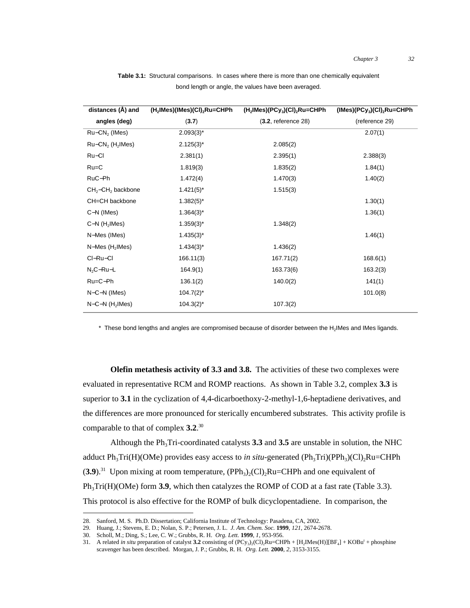| distances (Å) and              | (H <sub>2</sub> IMes)(IMes)(CI) <sub>2</sub> Ru=CHPh | $(H2IMes)(PCy3)(Cl)2Ru=CHPh$ | $(IMes)(PCy3)(Cl)2Ru=CHPh$ |
|--------------------------------|------------------------------------------------------|------------------------------|----------------------------|
| angles (deg)                   | (3.7)                                                | $(3.2,$ reference $28)$      | (reference 29)             |
| $Ru-CN2$ (IMes)                | $2.093(3)^{*}$                                       |                              | 2.07(1)                    |
| $Ru-CN2$ (H <sub>2</sub> IMes) | $2.125(3)^{*}$                                       | 2.085(2)                     |                            |
| Ru-Cl                          | 2.381(1)                                             | 2.395(1)                     | 2.388(3)                   |
| $Ru=C$                         | 1.819(3)                                             | 1.835(2)                     | 1.84(1)                    |
| RuC-Ph                         | 1.472(4)                                             | 1.470(3)                     | 1.40(2)                    |
| $CH2-CH2$ backbone             | $1.421(5)^{*}$                                       | 1.515(3)                     |                            |
| CH=CH backbone                 | $1.382(5)^{*}$                                       |                              | 1.30(1)                    |
| $C-N$ (IMes)                   | $1.364(3)^{*}$                                       |                              | 1.36(1)                    |
| $C-N$ (H <sub>2</sub> IMes)    | $1.359(3)^{*}$                                       | 1.348(2)                     |                            |
| N-Mes (IMes)                   | $1.435(3)^{*}$                                       |                              | 1.46(1)                    |
| $N-Mes$ (H <sub>2</sub> IMes)  | $1.434(3)^{*}$                                       | 1.436(2)                     |                            |
| CI-Ru-CI                       | 166.11(3)                                            | 167.71(2)                    | 168.6(1)                   |
| $N_2C-Ru-L$                    | 164.9(1)                                             | 163.73(6)                    | 163.2(3)                   |
| $Ru=C-Ph$                      | 136.1(2)                                             | 140.0(2)                     | 141(1)                     |
| $N-C-N$ (IMes)                 | $104.7(2)^{*}$                                       |                              | 101.0(8)                   |
| $N-C-N$ (H <sub>2</sub> IMes)  | $104.3(2)^{*}$                                       | 107.3(2)                     |                            |

**Table 3.1:** Structural comparisons. In cases where there is more than one chemically equivalent bond length or angle, the values have been averaged.

 $*$  These bond lengths and angles are compromised because of disorder between the  $H_2$ IMes and IMes ligands.

**Olefin metathesis activity of 3.3 and 3.8.** The activities of these two complexes were evaluated in representative RCM and ROMP reactions. As shown in Table 3.2, complex **3.3** is superior to **3.1** in the cyclization of 4,4-dicarboethoxy-2-methyl-1,6-heptadiene derivatives, and the differences are more pronounced for sterically encumbered substrates. This activity profile is comparable to that of complex **3.2**. 30

Although the Ph<sub>3</sub>Tri-coordinated catalysts  $3.3$  and  $3.5$  are unstable in solution, the NHC adduct  $Ph_3Tri(H)(OMe)$  provides easy access to *in situ*-generated  $(Ph_3Tri)(PPh_3)(Cl)$ <sub>2</sub>Ru=CHPh  $(3.9)$ <sup>31</sup> Upon mixing at room temperature,  $(PPh_3)_{2}(Cl)_{2}Ru=CHPh$  and one equivalent of  $Ph<sub>3</sub>Tri(H)(OMe)$  form **3.9**, which then catalyzes the ROMP of COD at a fast rate (Table 3.3). This protocol is also effective for the ROMP of bulk dicyclopentadiene. In comparison, the

 <sup>28.</sup> Sanford, M. S. Ph.D. Dissertation; California Institute of Technology: Pasadena, CA, 2002.

<sup>29.</sup> Huang, J.; Stevens, E. D.; Nolan, S. P.; Petersen, J. L. *J. Am. Chem. Soc.* **1999**, *121*, 2674-2678.

<sup>30.</sup> Scholl, M.; Ding, S.; Lee, C. W.; Grubbs, R. H. *Org. Lett.* **1999**, *1*, 953-956.

<sup>31.</sup> A related *in situ* preparation of catalyst **3.2** consisting of  $(PCy_3)_2(Cl)_2Ru=CHPh + [H_2Mes(H)][BF_4] + KOBu^t + phosphine$ scavenger has been described. Morgan, J. P.; Grubbs, R. H. *Org. Lett.* **2000**, *2*, 3153-3155.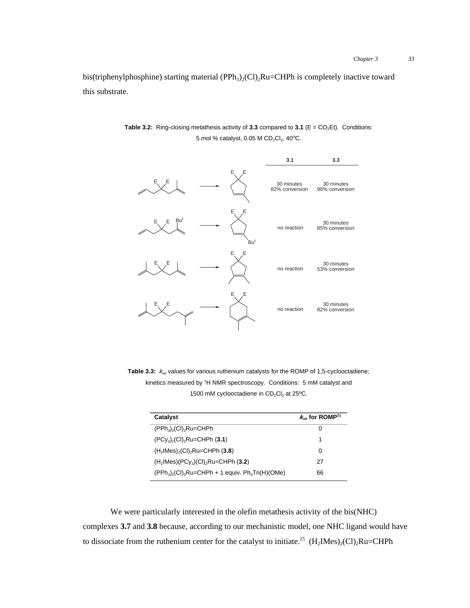bis(triphenylphosphine) starting material (PPh<sub>3</sub>)<sub>2</sub>(Cl)<sub>2</sub>Ru=CHPh is completely inactive toward this substrate.

**Table 3.2:** Ring-closing metathesis activity of 3.3 compared to 3.1 ( $E = CO<sub>2</sub>Et$ ). Conditions: 5 mol % catalyst,  $0.05$  M CD<sub>2</sub>Cl<sub>2</sub>,  $40^{\circ}$ C.



Table 3.3:  $k_{rel}$  values for various ruthenium catalysts for the ROMP of 1,5-cyclooctadiene; kinetics measured by <sup>1</sup>H NMR spectroscopy. Conditions: 5 mM catalyst and 1500 mM cyclooctadiene in  $CD_2Cl_2$  at 25°C.

| Catalyst                                                                      | $k_{\rm rel}$ for ROMP <sup>[b]</sup> |
|-------------------------------------------------------------------------------|---------------------------------------|
| $(PPh_3)$ <sub>2</sub> $(Cl)_2$ Ru=CHPh                                       | O                                     |
| $(PC_{V_3})$ , $(Cl)$ , $Ru=CHPh(3.1)$                                        | 1                                     |
| $(H2$ IMes $)_{2}$ (CI) <sub>2</sub> Ru=CHPh (3.8)                            | 0                                     |
| $(H2$ IMes $)(PC_{V3})(Cl)2Ru=CHPh (3.2)$                                     | 27                                    |
| $(PPh_3)$ <sub>2</sub> (CI) <sub>2</sub> Ru=CHPh + 1 equiv. $Ph_3Tri(H)(OMe)$ | 66                                    |

We were particularly interested in the olefin metathesis activity of the bis(NHC) complexes **3.7** and **3.8** because, according to our mechanistic model, one NHC ligand would have to dissociate from the ruthenium center for the catalyst to initiate.<sup>25</sup>  $(H_2$ IMes)<sub>2</sub>(Cl)<sub>2</sub>Ru=CHPh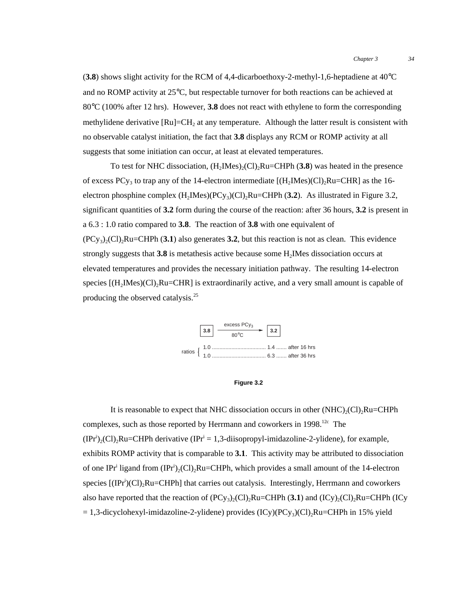$(3.8)$  shows slight activity for the RCM of 4,4-dicarboethoxy-2-methyl-1,6-heptadiene at  $40^{\circ}$ C and no ROMP activity at 25°C, but respectable turnover for both reactions can be achieved at 80°C (100% after 12 hrs). However, **3.8** does not react with ethylene to form the corresponding methylidene derivative [Ru]=CH<sub>2</sub> at any temperature. Although the latter result is consistent with no observable catalyst initiation, the fact that **3.8** displays any RCM or ROMP activity at all suggests that some initiation can occur, at least at elevated temperatures.

To test for NHC dissociation,  $(H_2Mes)_{2}(Cl)_{2}Ru=CHPh (3.8)$  was heated in the presence of excess PCy<sub>3</sub> to trap any of the 14-electron intermediate  $[(H_2Mes)(Cl)_2Ru=CHR]$  as the 16electron phosphine complex  $(H_2IMes)(PCy_3)(Cl)_2Ru=CHPh (3.2)$ . As illustrated in Figure 3.2, significant quantities of **3.2** form during the course of the reaction: after 36 hours, **3.2** is present in a 6.3 : 1.0 ratio compared to **3.8**. The reaction of **3.8** with one equivalent of  $(PCy_3)_{2}(Cl)_{2}$ Ru=CHPh (3.1) also generates 3.2, but this reaction is not as clean. This evidence strongly suggests that **3.8** is metathesis active because some H2IMes dissociation occurs at elevated temperatures and provides the necessary initiation pathway. The resulting 14-electron species  $[(H<sub>2</sub>IMes)(Cl)<sub>2</sub>Ru=CHR]$  is extraordinarily active, and a very small amount is capable of producing the observed catalysis.<sup>25</sup>





It is reasonable to expect that NHC dissociation occurs in other  $(NHC)_{2}(Cl)_{2}Ru=CHPh$ complexes, such as those reported by Herrmann and coworkers in  $1998$ <sup>12c</sup> The  $(IPr<sup>i</sup>)<sub>2</sub>(Cl)<sub>2</sub>Ru=CHPh derivative (IPr<sup>i</sup> = 1,3-diisopropyl-imidazoline-2-ylidene), for example,$ exhibits ROMP activity that is comparable to **3.1**. This activity may be attributed to dissociation of one IPr<sup>i</sup> ligand from  $(IPr^i)_2$ (Cl)<sub>2</sub>Ru=CHPh, which provides a small amount of the 14-electron species [(IPr<sup>i</sup>)(Cl)<sub>2</sub>Ru=CHPh] that carries out catalysis. Interestingly, Herrmann and coworkers also have reported that the reaction of  $(PCy_3)_2(Cl)_2Ru=CHPh$  (**3.1**) and  $(ICy)_2(Cl)_2Ru=CHPh$  (ICy  $= 1.3$ -dicyclohexyl-imidazoline-2-ylidene) provides (ICy)(PCy<sub>3</sub>)(Cl)<sub>2</sub>Ru=CHPh in 15% yield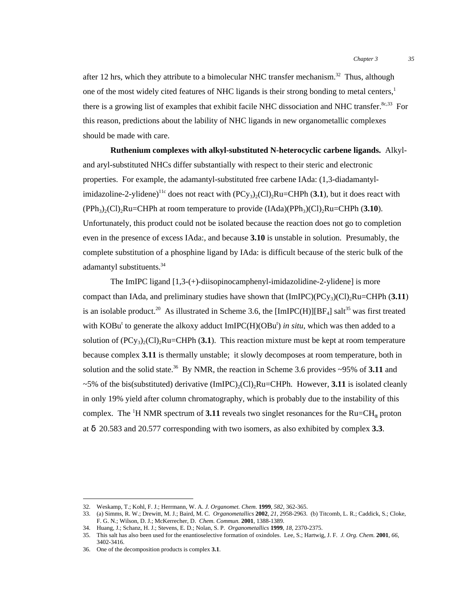after 12 hrs, which they attribute to a bimolecular NHC transfer mechanism.<sup>32</sup> Thus, although one of the most widely cited features of NHC ligands is their strong bonding to metal centers,<sup>1</sup> there is a growing list of examples that exhibit facile NHC dissociation and NHC transfer.<sup>8c,33</sup> For this reason, predictions about the lability of NHC ligands in new organometallic complexes should be made with care.

**Ruthenium complexes with alkyl-substituted N-heterocyclic carbene ligands.** Alkyland aryl-substituted NHCs differ substantially with respect to their steric and electronic properties. For example, the adamantyl-substituted free carbene IAda: (1,3-diadamantylimidazoline-2-ylidene)<sup>11c</sup> does not react with  $(PCy_3)_{2}(Cl)_{2}Ru=CHPh (3.1)$ , but it does react with  $(PPh_3)_{2}(Cl)_{2}$ <sup>2</sup>Ru=CHPh at room temperature to provide  $(Idda)(PPh_3)(Cl)_{2}Ru=CHPh (3.10)$ . Unfortunately, this product could not be isolated because the reaction does not go to completion even in the presence of excess IAda:, and because **3.10** is unstable in solution. Presumably, the complete substitution of a phosphine ligand by IAda: is difficult because of the steric bulk of the adamantyl substituents.<sup>34</sup>

The ImIPC ligand [1,3-(+)-diisopinocamphenyl-imidazolidine-2-ylidene] is more compact than IAda, and preliminary studies have shown that  $(ImIPC)(PC_{y3})(Cl)$ <sub>2</sub>Ru=CHPh (**3.11**) is an isolable product.<sup>20</sup> As illustrated in Scheme 3.6, the [ImIPC(H)][BF<sub>4</sub>] salt<sup>35</sup> was first treated with KOBu<sup>t</sup> to generate the alkoxy adduct ImIPC(H)(OBu<sup>t</sup>) in situ, which was then added to a solution of  $(PC_{y_3})_2(C)$ <sub>2</sub>Ru=CHPh (**3.1**). This reaction mixture must be kept at room temperature because complex **3.11** is thermally unstable; it slowly decomposes at room temperature, both in solution and the solid state.<sup>36</sup> By NMR, the reaction in Scheme 3.6 provides  $\sim$ 95% of **3.11** and  $\sim$ 5% of the bis(substituted) derivative (ImIPC)<sub>2</sub>(Cl)<sub>2</sub>Ru=CHPh. However, **3.11** is isolated cleanly in only 19% yield after column chromatography, which is probably due to the instability of this complex. The <sup>1</sup>H NMR spectrum of **3.11** reveals two singlet resonances for the  $Ru=CH_{\alpha}$  proton at δ 20.583 and 20.577 corresponding with two isomers, as also exhibited by complex **3.3**.

 <sup>32.</sup> Weskamp, T.; Kohl, F. J.; Herrmann, W. A. *J. Organomet. Chem.* **<sup>1999</sup>**, *582*, 362-365.

<sup>33.</sup> (a) Simms, R. W.; Drewitt, M. J.; Baird, M. C. *Organometallics* **2002**, *21*, 2958-2963. (b) Titcomb, L. R.; Caddick, S.; Cloke, F. G. N.; Wilson, D. J.; McKerrecher, D. *Chem. Commun.* **2001**, 1388-1389.

<sup>34.</sup> Huang, J.; Schanz, H. J.; Stevens, E. D.; Nolan, S. P. *Organometallics* **1999**, *18*, 2370-2375.

<sup>35.</sup> This salt has also been used for the enantioselective formation of oxindoles. Lee, S.; Hartwig, J. F. *J. Org. Chem.* **2001**, *66*, 3402-3416.

<sup>36.</sup> One of the decomposition products is complex **3.1**.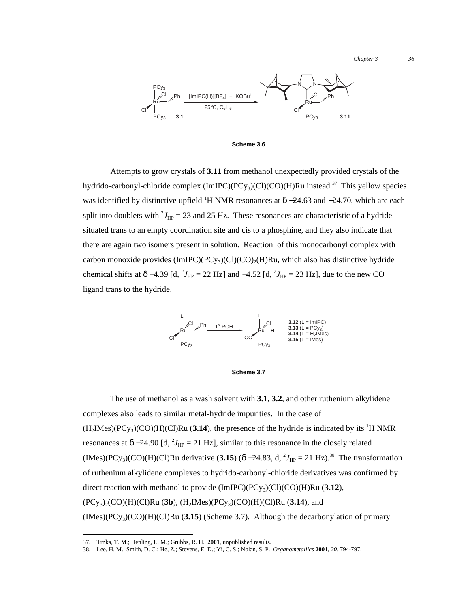*Chapter 3 36*



**Scheme 3.6**

Attempts to grow crystals of **3.11** from methanol unexpectedly provided crystals of the hydrido-carbonyl-chloride complex  $(ImIPC)(PCy_3)(Cl)(CO)(H)Ru$  instead.<sup>37</sup> This yellow species was identified by distinctive upfield <sup>1</sup>H NMR resonances at  $\delta$  –24.63 and –24.70, which are each split into doublets with  $^2J_{HP} = 23$  and 25 Hz. These resonances are characteristic of a hydride situated trans to an empty coordination site and cis to a phosphine, and they also indicate that there are again two isomers present in solution. Reaction of this monocarbonyl complex with carbon monoxide provides  $(ImIPC)(PC_y)(Cl)(CO)_2(H)Ru$ , which also has distinctive hydride chemical shifts at  $\delta$  –4.39 [d, <sup>2</sup> $J_{HP}$  = 22 Hz] and –4.52 [d, <sup>2</sup> $J_{HP}$  = 23 Hz], due to the new CO ligand trans to the hydride.



**Scheme 3.7**

The use of methanol as a wash solvent with **3.1**, **3.2**, and other ruthenium alkylidene complexes also leads to similar metal-hydride impurities. In the case of  $(H_2Mes)(PCy_3)(CO)(H)(Cl)Ru$  (3.14), the presence of the hydride is indicated by its <sup>1</sup>H NMR resonances at  $\delta$  –24.90 [d, <sup>2</sup> $J_{HP}$  = 21 Hz], similar to this resonance in the closely related  $(IMes)(PCy<sub>3</sub>)(CO)(H)(Cl)$ Ru derivative (3.15) ( $\delta$  –24.83, d, <sup>2</sup> $J_{HP}$  = 21 Hz).<sup>38</sup> The transformation of ruthenium alkylidene complexes to hydrido-carbonyl-chloride derivatives was confirmed by direct reaction with methanol to provide  $(ImIPC)(PC_{y_3})(Cl)(CO)(H)Ru (3.12)$ ,  $(PCy_3)_2(CO)(H)(Cl)Ru$  (3b),  $(H_2IMes)(PCy_3)(CO)(H)(Cl)Ru$  (3.14), and  $(IMes)(PCy<sub>3</sub>)(CO)(H)(Cl)Ru (3.15)$  (Scheme 3.7). Although the decarbonylation of primary

 <sup>37.</sup> Trnka, T. M.; Henling, L. M.; Grubbs, R. H. **2001**, unpublished results.

<sup>38.</sup> Lee, H. M.; Smith, D. C.; He, Z.; Stevens, E. D.; Yi, C. S.; Nolan, S. P. *Organometallics* **2001**, *20*, 794-797.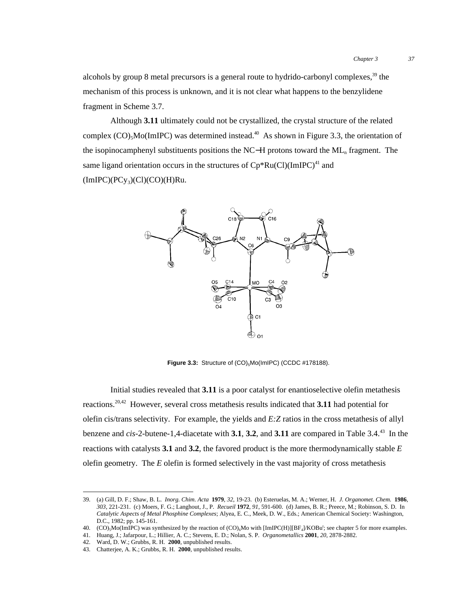alcohols by group 8 metal precursors is a general route to hydrido-carbonyl complexes,  $39$  the mechanism of this process is unknown, and it is not clear what happens to the benzylidene fragment in Scheme 3.7.

Although **3.11** ultimately could not be crystallized, the crystal structure of the related complex  $(CO)$ <sub>5</sub>M<sub>o</sub>(ImIPC) was determined instead.<sup>40</sup> As shown in Figure 3.3, the orientation of the isopinocamphenyl substituents positions the NC−H protons toward the ML<sub>n</sub> fragment. The same ligand orientation occurs in the structures of  $Cp*Ru(Cl)(ImIPC)^{41}$  and  $(ImIPC)(PCy_3)(Cl)(CO)(H)Ru.$ 



**Figure 3.3:** Structure of  $(CO)_{5}$ Mo(ImIPC) (CCDC #178188).

Initial studies revealed that **3.11** is a poor catalyst for enantioselective olefin metathesis reactions.20,42 However, several cross metathesis results indicated that **3.11** had potential for olefin cis/trans selectivity. For example, the yields and *E:Z* ratios in the cross metathesis of allyl benzene and *cis*-2-butene-1,4-diacetate with **3.1**, **3.2**, and **3.11** are compared in Table 3.4.43 In the reactions with catalysts **3.1** and **3.2**, the favored product is the more thermodynamically stable *E* olefin geometry. The *E* olefin is formed selectively in the vast majority of cross metathesis

 <sup>39.</sup> (a) Gill, D. F.; Shaw, B. L. *Inorg. Chim. Acta* **<sup>1979</sup>**, *32*, 19-23. (b) Esteruelas, M. A.; Werner, H. *J. Organomet. Chem.* **<sup>1986</sup>**, *303*, 221-231. (c) Moers, F. G.; Langhout, J., P. *Recueil* **1972**, *91*, 591-600. (d) James, B. R.; Preece, M.; Robinson, S. D. In *Catalytic Aspects of Metal Phosphine Complexes*; Alyea, E. C., Meek, D. W., Eds.; American Chemical Society: Washington, D.C., 1982; pp. 145-161.

<sup>40. (</sup>CO)<sub>5</sub>Mo(ImIPC) was synthesized by the reaction of  $(CO)_{6}$ Mo with [ImIPC(H)][BF<sub>4</sub>]/KOBu<sup>1</sup>; see chapter 5 for more examples.

<sup>41.</sup> Huang, J.; Jafarpour, L.; Hillier, A. C.; Stevens, E. D.; Nolan, S. P. *Organometallics* **2001**, *20*, 2878-2882.

<sup>42.</sup> Ward, D. W.; Grubbs, R. H. **2000**, unpublished results.

<sup>43.</sup> Chatterjee, A. K.; Grubbs, R. H. **2000**, unpublished results.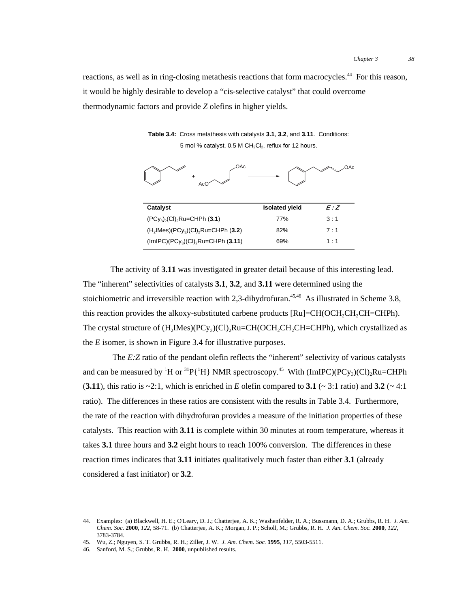reactions, as well as in ring-closing metathesis reactions that form macrocycles.<sup>44</sup> For this reason, it would be highly desirable to develop a "cis-selective catalyst" that could overcome thermodynamic factors and provide *Z* olefins in higher yields.

**Table 3.4:** Cross metathesis with catalysts **3.1**, **3.2**, and **3.11**. Conditions: 5 mol % catalyst, 0.5 M CH<sub>2</sub>Cl<sub>2</sub>, reflux for 12 hours.

| OAc<br>$\ddot{}$<br>Ac(                                        |                       | OAc   |
|----------------------------------------------------------------|-----------------------|-------|
| Catalyst                                                       | <b>Isolated yield</b> | E:Z   |
| $(PCy_3)_2$ (CI) <sub>2</sub> Ru=CHPh (3.1)                    | 77%                   | 3:1   |
| $(H_2$ IMes)(PCy <sub>3</sub> )(CI) <sub>2</sub> Ru=CHPh (3.2) | 82%                   | 7 : 1 |

(ImIPC)(PCy<sub>3</sub>)(Cl)<sub>2</sub>Ru=CHPh (**3.11**) 69% 1 : 1

The activity of **3.11** was investigated in greater detail because of this interesting lead. The "inherent" selectivities of catalysts **3.1**, **3.2**, and **3.11** were determined using the stoichiometric and irreversible reaction with 2,3-dihydrofuran.<sup>45,46</sup> As illustrated in Scheme 3.8, this reaction provides the alkoxy-substituted carbene products  $[Ru] = CH(OCH, CH, CH=CHPh)$ . The crystal structure of  $(H_2Mes)(PCy_3)(Cl)_2Ru=CH(OCH_2CH_2CH=CHPh)$ , which crystallized as the *E* isomer, is shown in Figure 3.4 for illustrative purposes.

The *E*: *Z* ratio of the pendant olefin reflects the "inherent" selectivity of various catalysts and can be measured by <sup>1</sup>H or <sup>31</sup>P{<sup>1</sup>H} NMR spectroscopy.<sup>45</sup> With (ImIPC)(PCy<sub>3</sub>)(Cl)<sub>2</sub>Ru=CHPh (**3.11**), this ratio is  $\sim$ 2:1, which is enriched in *E* olefin compared to **3.1** ( $\sim$  3:1 ratio) and **3.2** ( $\sim$  4:1 ratio). The differences in these ratios are consistent with the results in Table 3.4. Furthermore, the rate of the reaction with dihydrofuran provides a measure of the initiation properties of these catalysts. This reaction with **3.11** is complete within 30 minutes at room temperature, whereas it takes **3.1** three hours and **3.2** eight hours to reach 100% conversion. The differences in these reaction times indicates that **3.11** initiates qualitatively much faster than either **3.1** (already considered a fast initiator) or **3.2**.

 <sup>44.</sup> Examples: (a) Blackwell, H. E.; O'Leary, D. J.; Chatterjee, A. K.; Washenfelder, R. A.; Bussmann, D. A.; Grubbs, R. H. *J. Am. Chem. Soc.* **2000**, *122*, 58-71. (b) Chatterjee, A. K.; Morgan, J. P.; Scholl, M.; Grubbs, R. H. *J. Am. Chem. Soc.* **2000**, *122*, 3783-3784.

<sup>45.</sup> Wu, Z.; Nguyen, S. T. Grubbs, R. H.; Ziller, J. W. *J. Am. Chem. Soc.* **1995**, *117*, 5503-5511.

<sup>46.</sup> Sanford, M. S.; Grubbs, R. H. **2000**, unpublished results.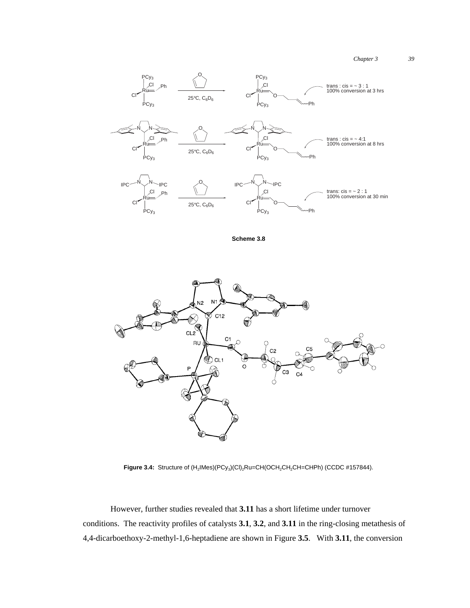*Chapter 3 39*



**Scheme 3.8**



Figure 3.4: Structure of  $(H_2$ IMes)(PCy<sub>3</sub>)(CI)<sub>2</sub>Ru=CH(OCH<sub>2</sub>CH<sub>2</sub>CH=CHPh) (CCDC #157844).

However, further studies revealed that **3.11** has a short lifetime under turnover conditions. The reactivity profiles of catalysts **3.1**, **3.2**, and **3.11** in the ring-closing metathesis of 4,4-dicarboethoxy-2-methyl-1,6-heptadiene are shown in Figure **3.5**. With **3.11**, the conversion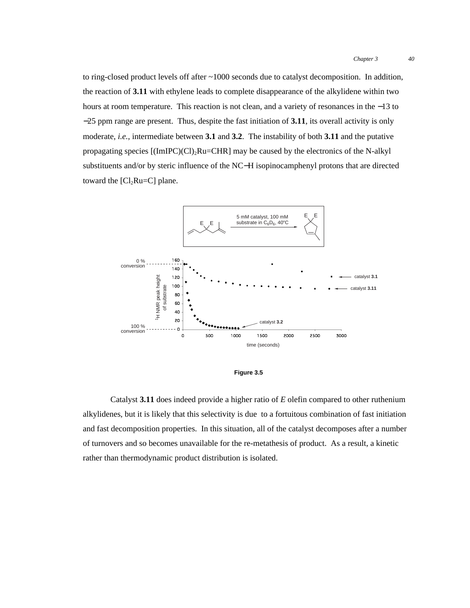to ring-closed product levels off after ~1000 seconds due to catalyst decomposition. In addition, the reaction of **3.11** with ethylene leads to complete disappearance of the alkylidene within two hours at room temperature. This reaction is not clean, and a variety of resonances in the −13 to −25 ppm range are present. Thus, despite the fast initiation of **3.11**, its overall activity is only moderate, *i.e.*, intermediate between **3.1** and **3.2**. The instability of both **3.11** and the putative propagating species  $[(\text{ImIPC})(\text{Cl})_2\text{Ru=CHR}]$  may be caused by the electronics of the N-alkyl substituents and/or by steric influence of the NC−H isopinocamphenyl protons that are directed toward the  $[Cl_2Ru=C]$  plane.



**Figure 3.5**

Catalyst **3.11** does indeed provide a higher ratio of *E* olefin compared to other ruthenium alkylidenes, but it is likely that this selectivity is due to a fortuitous combination of fast initiation and fast decomposition properties. In this situation, all of the catalyst decomposes after a number of turnovers and so becomes unavailable for the re-metathesis of product. As a result, a kinetic rather than thermodynamic product distribution is isolated.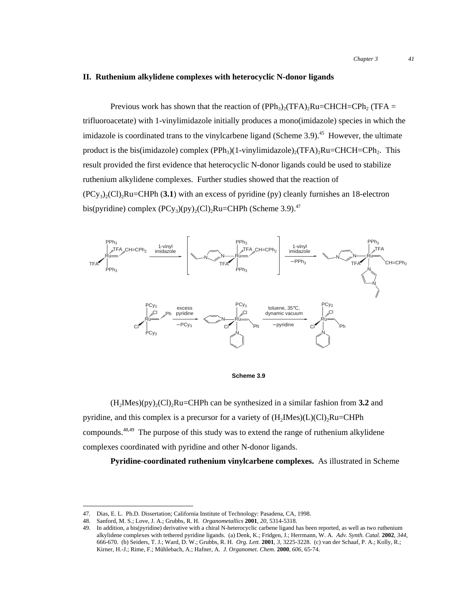### **II. Ruthenium alkylidene complexes with heterocyclic N-donor ligands**

Previous work has shown that the reaction of (PPh<sub>3</sub>)<sub>2</sub>(TFA)<sub>2</sub>Ru=CHCH=CPh<sub>2</sub> (TFA = trifluoroacetate) with 1-vinylimidazole initially produces a mono(imidazole) species in which the imidazole is coordinated trans to the vinylcarbene ligand (Scheme 3.9).<sup>45</sup> However, the ultimate product is the bis(imidazole) complex  $(PPh<sub>3</sub>)(1-vinylimidazole)$ <sub>2</sub>(TFA)<sub>2</sub>Ru=CHCH=CPh<sub>2</sub>. This result provided the first evidence that heterocyclic N-donor ligands could be used to stabilize ruthenium alkylidene complexes. Further studies showed that the reaction of  $(PCy<sub>3</sub>)<sub>2</sub>(Cl)<sub>2</sub>Ru=CHPh (3.1)$  with an excess of pyridine (py) cleanly furnishes an 18-electron bis(pyridine) complex  $(PCy<sub>3</sub>)(py)<sub>2</sub>(Cl)<sub>2</sub>Ru=CHPh$  (Scheme 3.9).<sup>47</sup>





 $(H_2IMes)(py)_{2}(Cl)_{2}Ru=CHPh$  can be synthesized in a similar fashion from **3.2** and pyridine, and this complex is a precursor for a variety of  $(H_2Mes)(L)(Cl)_2Ru=CHPh$ compounds.<sup>48,49</sup> The purpose of this study was to extend the range of ruthenium alkylidene complexes coordinated with pyridine and other N-donor ligands.

**Pyridine-coordinated ruthenium vinylcarbene complexes.** As illustrated in Scheme

 <sup>47.</sup> Dias, E. L. Ph.D. Dissertation; California Institute of Technology: Pasadena, CA, 1998.

<sup>48.</sup> Sanford, M. S.; Love, J. A.; Grubbs, R. H. *Organometallics* **2001**, *20*, 5314-5318.

<sup>49.</sup> In addition, a bis(pyridine) derivative with a chiral N-heterocyclic carbene ligand has been reported, as well as two ruthenium alkylidene complexes with tethered pyridine ligands. (a) Denk, K.; Fridgen, J.; Herrmann, W. A. *Adv. Synth. Catal.* **2002**, *344*, 666-670. (b) Seiders, T. J.; Ward, D. W.; Grubbs, R. H. *Org. Lett.* **2001**, *3*, 3225-3228. (c) van der Schaaf, P. A.; Kolly, R.; Kirner, H.-J.; Rime, F.; Mühlebach, A.; Hafner, A. *J. Organomet. Chem.* **2000**, *606*, 65-74.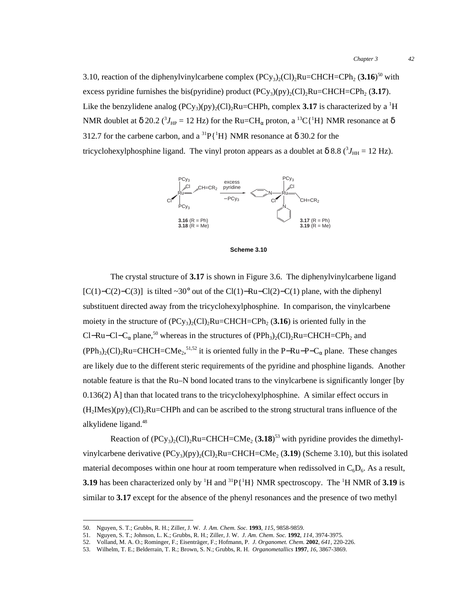3.10, reaction of the diphenylvinylcarbene complex  $(PCy_3)_2$  $(Cl)_2$ Ru=CHCH=CPh<sub>2</sub>  $(3.16)^{50}$  with excess pyridine furnishes the bis(pyridine) product  $(PCy_3)(py)_2(Cl)_2Ru=CHCH=CPh_2$  (3.17). Like the benzylidene analog  $(PCy_3)(py)_2(Cl)_2Ru=CHPh$ , complex **3.17** is characterized by a <sup>1</sup>H NMR doublet at  $\delta$  20.2 ( ${}^{3}J_{\rm HP}$  = 12 Hz) for the Ru=CH<sub>α</sub> proton, a <sup>13</sup>C{<sup>1</sup>H} NMR resonance at  $\delta$ 312.7 for the carbene carbon, and a  ${}^{31}P[{^1}H]$  NMR resonance at  $\delta$  30.2 for the tricyclohexylphosphine ligand. The vinyl proton appears as a doublet at  $\delta$  8.8 ( ${}^{3}J_{\text{HH}} = 12$  Hz).





The crystal structure of **3.17** is shown in Figure 3.6. The diphenylvinylcarbene ligand [C(1)−C(2)−C(3)] is tilted ~30° out of the Cl(1)−Ru−Cl(2)−C(1) plane, with the diphenyl substituent directed away from the tricyclohexylphosphine. In comparison, the vinylcarbene moiety in the structure of  $(PCy_3)_{2}(Cl)_{2}Ru=CHCH=CPh_{2} (3.16)$  is oriented fully in the Cl–Ru–Cl–C<sub>α</sub> plane,<sup>50</sup> whereas in the structures of (PPh<sub>3</sub>)<sub>2</sub>(Cl)<sub>2</sub>Ru=CHCH=CPh<sub>2</sub> and  $(PPh_3)_2$ (Cl)<sub>2</sub>Ru=CHCH=CMe<sub>2</sub>,<sup>51,52</sup> it is oriented fully in the P–Ru–P–C<sub>α</sub> plane. These changes are likely due to the different steric requirements of the pyridine and phosphine ligands. Another notable feature is that the Ru–N bond located trans to the vinylcarbene is significantly longer [by  $0.136(2)$  Å] than that located trans to the tricyclohexylphosphine. A similar effect occurs in  $(H<sub>2</sub>Mes)(py)<sub>2</sub>(Cl)<sub>2</sub>Ru=CHPh$  and can be ascribed to the strong structural trans influence of the alkylidene ligand.<sup>48</sup>

Reaction of  $(PCy_3)_2$ (Cl)<sub>2</sub>Ru=CHCH=CMe<sub>2</sub> (3.18)<sup>53</sup> with pyridine provides the dimethylvinylcarbene derivative  $(PCy_3)(py)_2(Cl)_2Ru=CHCH=CMe_2 (3.19)$  (Scheme 3.10), but this isolated material decomposes within one hour at room temperature when redissolved in  $C_6D_6$ . As a result, **3.19** has been characterized only by  ${}^{1}H$  and  ${}^{31}P\{{}^{1}H\}$  NMR spectroscopy. The  ${}^{1}H$  NMR of **3.19** is similar to **3.17** except for the absence of the phenyl resonances and the presence of two methyl

 <sup>50.</sup> Nguyen, S. T.; Grubbs, R. H.; Ziller, J. W. *J. Am. Chem. Soc.* **<sup>1993</sup>**, *115*, 9858-9859.

<sup>51.</sup> Nguyen, S. T.; Johnson, L. K.; Grubbs, R. H.; Ziller, J. W. *J. Am. Chem. Soc.* **1992**, *114*, 3974-3975.

<sup>52.</sup> Volland, M. A. O.; Rominger, F.; Eisenträger, F.; Hofmann, P. *J. Organomet. Chem.* **2002**, *641*, 220-226.

<sup>53.</sup> Wilhelm, T. E.; Belderrain, T. R.; Brown, S. N.; Grubbs, R. H. *Organometallics* **1997**, *16*, 3867-3869.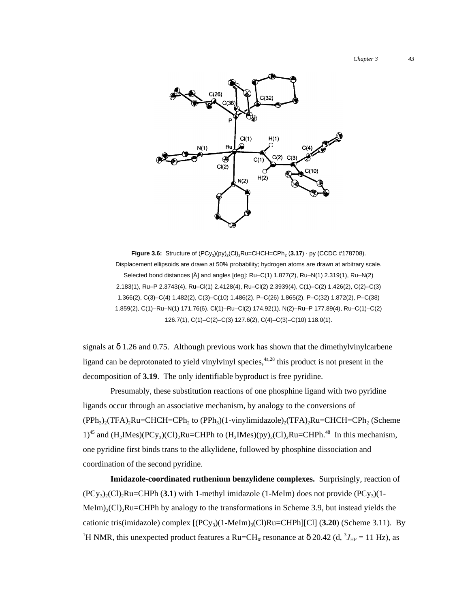*Chapter 3 43*



**Figure 3.6:** Structure of  $(PCy_3)(py)_2$ (Cl)<sub>2</sub>Ru=CHCH=CPh<sub>2</sub> (3.17) · py (CCDC #178708). Displacement ellipsoids are drawn at 50% probability; hydrogen atoms are drawn at arbitrary scale. Selected bond distances [Å] and angles [deg]: Ru–C(1) 1.877(2), Ru–N(1) 2.319(1), Ru–N(2) 2.183(1), Ru–P 2.3743(4), Ru–Cl(1) 2.4128(4), Ru–Cl(2) 2.3939(4), C(1)–C(2) 1.426(2), C(2)–C(3) 1.366(2), C(3)–C(4) 1.482(2), C(3)–C(10) 1.486(2), P–C(26) 1.865(2), P–C(32) 1.872(2), P–C(38) 1.859(2), C(1)–Ru–N(1) 171.76(6), Cl(1)–Ru–Cl(2) 174.92(1), N(2)–Ru–P 177.89(4), Ru–C(1)–C(2) 126.7(1), C(1)–C(2)–C(3) 127.6(2), C(4)–C(3)–C(10) 118.0(1).

signals at  $\delta$  1.26 and 0.75. Although previous work has shown that the dimethylvinylcarbene ligand can be deprotonated to yield vinylvinyl species,  $4a,28$  this product is not present in the decomposition of **3.19**. The only identifiable byproduct is free pyridine.

Presumably, these substitution reactions of one phosphine ligand with two pyridine ligands occur through an associative mechanism, by analogy to the conversions of  $(PPh<sub>3</sub>)(TFA)<sub>2</sub>Ru=CHCH=CPh<sub>2</sub>$  to  $(PPh<sub>3</sub>)(1-vinylimidazole)<sub>2</sub>(TFA)<sub>2</sub>Ru=CHCH=CPh<sub>2</sub>$  (Scheme  $1)^{45}$  and  $(H_2Mes)(PCy_3)(Cl)_2Ru=CHPh$  to  $(H_2Mes)(py)_2(Cl)_2Ru=CHPh<sup>48</sup>$  In this mechanism, one pyridine first binds trans to the alkylidene, followed by phosphine dissociation and coordination of the second pyridine.

**Imidazole-coordinated ruthenium benzylidene complexes.** Surprisingly, reaction of  $(PCy_3)_2$ (Cl)<sub>2</sub>Ru=CHPh (3.1) with 1-methyl imidazole (1-MeIm) does not provide  $(PCy_3)$ (1- $Melm_2(Cl)_2Ru=CHPh$  by analogy to the transformations in Scheme 3.9, but instead yields the cationic tris(imidazole) complex [(PCy3)(1-MeIm)3(Cl)Ru=CHPh][Cl] (**3.20**) (Scheme 3.11). By <sup>1</sup>H NMR, this unexpected product features a Ru=CH<sub>α</sub> resonance at  $\delta$  20.42 (d, <sup>3</sup>J<sub>HP</sub> = 11 Hz), as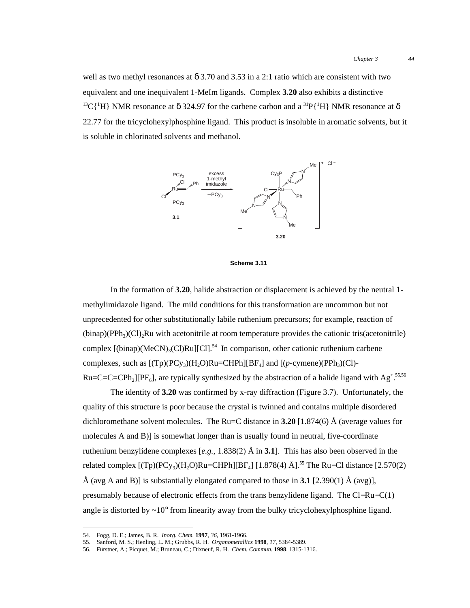well as two methyl resonances at  $\delta$  3.70 and 3.53 in a 2:1 ratio which are consistent with two equivalent and one inequivalent 1-MeIm ligands. Complex **3.20** also exhibits a distinctive <sup>13</sup>C{<sup>1</sup>H} NMR resonance at  $\delta$  324.97 for the carbene carbon and a <sup>31</sup>P{<sup>1</sup>H} NMR resonance at  $\delta$ 22.77 for the tricyclohexylphosphine ligand. This product is insoluble in aromatic solvents, but it is soluble in chlorinated solvents and methanol.





In the formation of **3.20**, halide abstraction or displacement is achieved by the neutral 1 methylimidazole ligand. The mild conditions for this transformation are uncommon but not unprecedented for other substitutionally labile ruthenium precursors; for example, reaction of  $(binap)(PPh<sub>3</sub>)(Cl)<sub>2</sub>Ru with acetonitrile at room temperature provides the cationic tris(acetonitrile)$ complex  $[(\text{binap})(\text{MeCN})_{3}(C)]$ Ru $[[C]]^{54}$  In comparison, other cationic ruthenium carbene complexes, such as  $[(Tp)(PCy_3)(H_2O)Ru=CHPh][BF_4]$  and  $[(p-cymene)(PPh_3)(Cl)-$ Ru=C=C=CPh<sub>2</sub>][PF<sub>6</sub>], are typically synthesized by the abstraction of a halide ligand with Ag<sup>+</sup>.<sup>55,56</sup>

The identity of **3.20** was confirmed by x-ray diffraction (Figure 3.7). Unfortunately, the quality of this structure is poor because the crystal is twinned and contains multiple disordered dichloromethane solvent molecules. The Ru=C distance in **3.20** [1.874(6) Å (average values for molecules A and B)] is somewhat longer than is usually found in neutral, five-coordinate ruthenium benzylidene complexes  $[e.g., 1.838(2)$  Å in 3.1. This has also been observed in the related complex  $[(Tp)(PC_{y3})(H_2O)Ru=CHPh][BF_4] [1.878(4) Å].^{55}$  The Ru–Cl distance  $[2.570(2)$ Å (avg A and B)] is substantially elongated compared to those in **3.1** [2.390(1) Å (avg)], presumably because of electronic effects from the trans benzylidene ligand. The Cl−Ru−C(1) angle is distorted by  $\sim 10^{\circ}$  from linearity away from the bulky tricyclohexylphosphine ligand.

 <sup>54.</sup> Fogg, D. E.; James, B. R. *Inorg. Chem.* **<sup>1997</sup>**, *36*, 1961-1966.

<sup>55.</sup> Sanford, M. S.; Henling, L. M.; Grubbs, R. H. *Organometallics* **1998**, *17*, 5384-5389.

<sup>56.</sup> Fürstner, A.; Picquet, M.; Bruneau, C.; Dixneuf, R. H. *Chem. Commun.* **1998**, 1315-1316.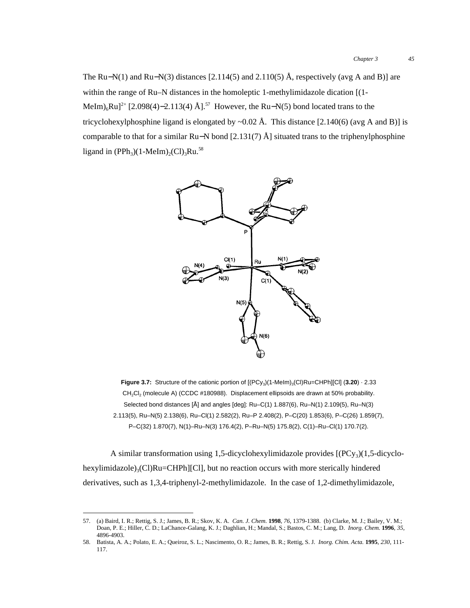The Ru–N(1) and Ru–N(3) distances [2.114(5) and 2.110(5) Å, respectively (avg A and B)] are within the range of Ru–N distances in the homoleptic 1-methylimidazole dication [(1- MeIm)<sub>6</sub>Ru]<sup>2+</sup> [2.098(4)–2.113(4) Å].<sup>57</sup> However, the Ru–N(5) bond located trans to the tricyclohexylphosphine ligand is elongated by  $\sim 0.02$  Å. This distance [2.140(6) (avg A and B)] is comparable to that for a similar Ru−N bond [2.131(7) Å] situated trans to the triphenylphosphine ligand in  $(PPh_3)(1-Melm)<sub>2</sub>(Cl)<sub>3</sub>Ru.<sup>58</sup>$ 



**Figure 3.7:** Structure of the cationic portion of  $[(PCy<sub>3</sub>)(1-Melm)<sub>3</sub>(Cl)Ru=CHPh][Cl]$  (3.20) · 2.33 CH<sub>2</sub>Cl<sub>2</sub> (molecule A) (CCDC #180988). Displacement ellipsoids are drawn at 50% probability. Selected bond distances [Å] and angles [deg]: Ru–C(1) 1.887(6), Ru–N(1) 2.109(5), Ru–N(3) 2.113(5), Ru–N(5) 2.138(6), Ru–Cl(1) 2.582(2), Ru–P 2.408(2), P–C(20) 1.853(6), P–C(26) 1.859(7), P–C(32) 1.870(7), N(1)–Ru–N(3) 176.4(2), P–Ru–N(5) 175.8(2), C(1)–Ru–Cl(1) 170.7(2).

A similar transformation using 1,5-dicyclohexylimidazole provides  $[(PCy<sub>3</sub>)(1,5-dicyclo$ hexylimidazole) $_3$ (Cl)Ru=CHPh][Cl], but no reaction occurs with more sterically hindered derivatives, such as 1,3,4-triphenyl-2-methylimidazole. In the case of 1,2-dimethylimidazole,

 <sup>57.</sup> (a) Baird, I. R.; Rettig, S. J.; James, B. R.; Skov, K. A. *Can. J. Chem.* **<sup>1998</sup>**, *76*, 1379-1388. (b) Clarke, M. J.; Bailey, V. M.; Doan, P. E.; Hiller, C. D.; LaChance-Galang, K. J.; Daghlian, H.; Mandal, S.; Bastos, C. M.; Lang, D. *Inorg. Chem.* **1996**, *35*, 4896-4903.

<sup>58.</sup> Batista, A. A.; Polato, E. A.; Queiroz, S. L.; Nascimento, O. R.; James, B. R.; Rettig, S. J. *Inorg. Chim. Acta.* **1995**, *230*, 111- 117.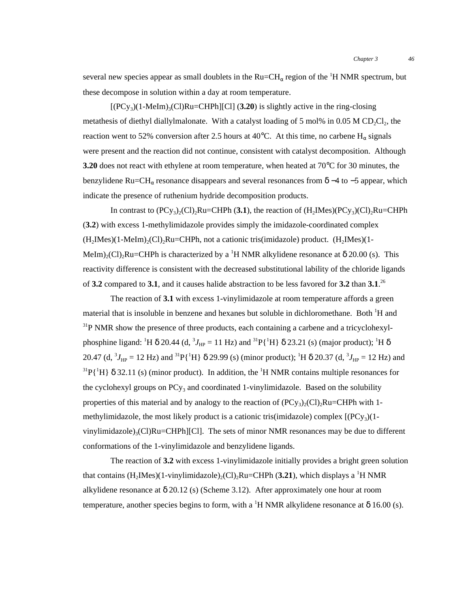several new species appear as small doublets in the  $Ru=CH_{\alpha}$  region of the  $^1H$  NMR spectrum, but these decompose in solution within a day at room temperature.

 $[(PC_{y3})(1-MeIm)_{3}(Cl)Ru=CHPh][Cl]$  (3.20) is slightly active in the ring-closing metathesis of diethyl diallylmalonate. With a catalyst loading of 5 mol% in 0.05 M CD<sub>2</sub>Cl<sub>2</sub>, the reaction went to 52% conversion after 2.5 hours at 40°C. At this time, no carbene  $H_{\alpha}$  signals were present and the reaction did not continue, consistent with catalyst decomposition. Although **3.20** does not react with ethylene at room temperature, when heated at 70°C for 30 minutes, the benzylidene Ru=CH<sub>α</sub> resonance disappears and several resonances from δ –4 to –5 appear, which indicate the presence of ruthenium hydride decomposition products.

In contrast to  $(PCy_3)_2(Cl)_2Ru=CHPh$  (3.1), the reaction of  $(H_2Mes)(PCy_3)(Cl)_2Ru=CHPh$ (**3.2**) with excess 1-methylimidazole provides simply the imidazole-coordinated complex  $(H<sub>2</sub>IMes)(1-MeIm)$ <sub>2</sub> $Cl<sub>2</sub>Ru=CHPh$ , not a cationic tris(imidazole) product. (H<sub>2</sub>IMes)(1-MeIm)<sub>2</sub>(Cl)<sub>2</sub>Ru=CHPh is characterized by a <sup>1</sup>H NMR alkylidene resonance at  $\delta$  20.00 (s). This reactivity difference is consistent with the decreased substitutional lability of the chloride ligands of **3.2** compared to **3.1**, and it causes halide abstraction to be less favored for **3.2** than **3.1**. 26

The reaction of **3.1** with excess 1-vinylimidazole at room temperature affords a green material that is insoluble in benzene and hexanes but soluble in dichloromethane. Both <sup>1</sup>H and <sup>31</sup>P NMR show the presence of three products, each containing a carbene and a tricyclohexylphosphine ligand: <sup>1</sup>H  $\delta$  20.44 (d,  ${}^{3}J_{HP} = 11$  Hz) and  ${}^{31}P\{{}^{1}H\}$   $\delta$  23.21 (s) (major product); <sup>1</sup>H  $\delta$ 20.47 (d,  ${}^{3}J_{\text{HP}} = 12 \text{ Hz}$ ) and  ${}^{31}P\{{}^{1}H\}$   $\delta$  29.99 (s) (minor product);  ${}^{1}H$   $\delta$  20.37 (d,  ${}^{3}J_{\text{HP}} = 12 \text{ Hz}$ ) and <sup>31</sup>P{<sup>1</sup>H}  $\delta$  32.11 (s) (minor product). In addition, the <sup>1</sup>H NMR contains multiple resonances for the cyclohexyl groups on  $PCy_3$  and coordinated 1-vinylimidazole. Based on the solubility properties of this material and by analogy to the reaction of  $(PCy_3)_{2}(Cl)_{2}Ru=CHPh$  with 1methylimidazole, the most likely product is a cationic tris(imidazole) complex  $[(PC_{y3})(1-\)$ vinylimidazole)<sub>3</sub>(Cl)Ru=CHPh][Cl]. The sets of minor NMR resonances may be due to different conformations of the 1-vinylimidazole and benzylidene ligands.

The reaction of **3.2** with excess 1-vinylimidazole initially provides a bright green solution that contains  $(H_2Mes)(1-vinylimidazole)_2(Cl)_2Ru=CHPh (3.21)$ , which displays a <sup>1</sup>H NMR alkylidene resonance at  $\delta$  20.12 (s) (Scheme 3.12). After approximately one hour at room temperature, another species begins to form, with a <sup>1</sup>H NMR alkylidene resonance at  $\delta$  16.00 (s).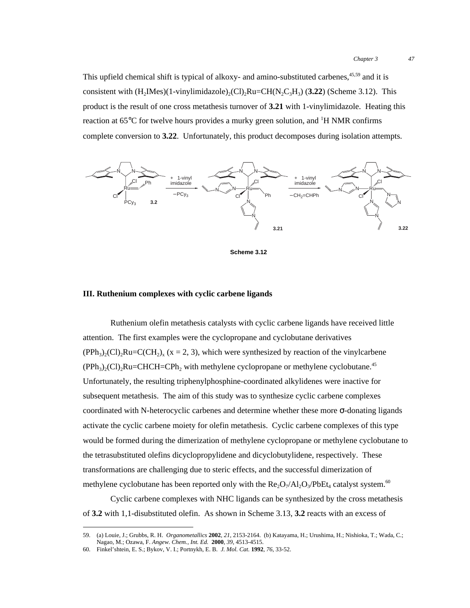This upfield chemical shift is typical of alkoxy- and amino-substituted carbenes,<sup>45,59</sup> and it is consistent with  $(H_2IMes)(1-vinylimidazole)_{2}(Cl)_{2}Ru=CH(N_2C_3H_3)$  (3.22) (Scheme 3.12). This product is the result of one cross metathesis turnover of **3.21** with 1-vinylimidazole. Heating this reaction at 65°C for twelve hours provides a murky green solution, and  ${}^{1}H$  NMR confirms complete conversion to **3.22**. Unfortunately, this product decomposes during isolation attempts.



**Scheme 3.12**

### **III. Ruthenium complexes with cyclic carbene ligands**

Ruthenium olefin metathesis catalysts with cyclic carbene ligands have received little attention. The first examples were the cyclopropane and cyclobutane derivatives  $(PPh<sub>3</sub>)(Cl)<sub>2</sub>Ru=C(CH<sub>2</sub>)$ ,  $(x = 2, 3)$ , which were synthesized by reaction of the vinylcarbene  $(PPh<sub>3</sub>)(Cl)<sub>2</sub>Ru=CHCH=CPh<sub>2</sub>$  with methylene cyclopropane or methylene cyclobutane.<sup>45</sup> Unfortunately, the resulting triphenylphosphine-coordinated alkylidenes were inactive for subsequent metathesis. The aim of this study was to synthesize cyclic carbene complexes coordinated with N-heterocyclic carbenes and determine whether these more σ-donating ligands activate the cyclic carbene moiety for olefin metathesis. Cyclic carbene complexes of this type would be formed during the dimerization of methylene cyclopropane or methylene cyclobutane to the tetrasubstituted olefins dicyclopropylidene and dicyclobutylidene, respectively. These transformations are challenging due to steric effects, and the successful dimerization of methylene cyclobutane has been reported only with the  $Re_2O_7/Al_2O_3/PbEt_4$  catalyst system.<sup>60</sup>

Cyclic carbene complexes with NHC ligands can be synthesized by the cross metathesis of **3.2** with 1,1-disubstituted olefin. As shown in Scheme 3.13, **3.2** reacts with an excess of

 <sup>59.</sup> (a) Louie, J.; Grubbs, R. H. *Organometallics* **<sup>2002</sup>**, *21*, 2153-2164. (b) Katayama, H.; Urushima, H.; Nishioka, T.; Wada, C.; Nagao, M.; Ozawa, F. *Angew. Chem., Int. Ed.* **2000**, *39*, 4513-4515.

<sup>60.</sup> Finkel'shtein, E. S.; Bykov, V. I.; Portnykh, E. B. *J. Mol. Cat.* **1992**, *76*, 33-52.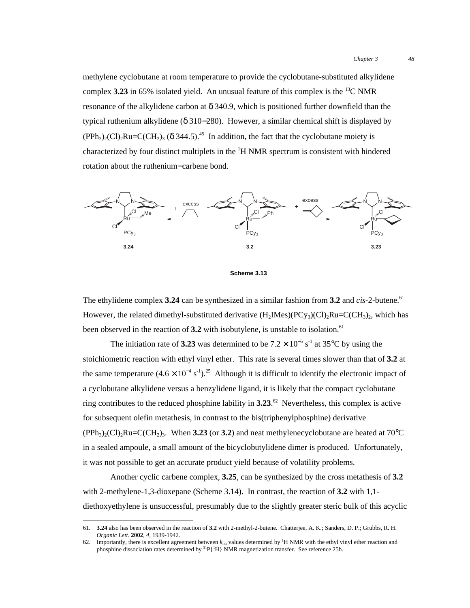methylene cyclobutane at room temperature to provide the cyclobutane-substituted alkylidene complex  $3.23$  in 65% isolated yield. An unusual feature of this complex is the <sup>13</sup>C NMR resonance of the alkylidene carbon at  $\delta$  340.9, which is positioned further downfield than the typical ruthenium alkylidene (δ 310−280). However, a similar chemical shift is displayed by  $(PPh_3)_{2}(Cl)_{2}Ru=C(CH_2)_{3}$  (δ 344.5).<sup>45</sup> In addition, the fact that the cyclobutane moiety is characterized by four distinct multiplets in the <sup>1</sup>H NMR spectrum is consistent with hindered rotation about the ruthenium−carbene bond.



**Scheme 3.13**

The ethylidene complex **3.24** can be synthesized in a similar fashion from **3.2** and *cis*-2-butene.<sup>61</sup> However, the related dimethyl-substituted derivative  $(H_2Mes)(PCy_3)(Cl)_2Ru=C(CH_3)_2$ , which has been observed in the reaction of 3.2 with isobutylene, is unstable to isolation.<sup>61</sup>

The initiation rate of **3.23** was determined to be  $7.2 \times 10^{-5}$  s<sup>-1</sup> at 35°C by using the stoichiometric reaction with ethyl vinyl ether. This rate is several times slower than that of **3.2** at the same temperature  $(4.6 \times 10^{-4} \text{ s}^{-1})^{25}$  Although it is difficult to identify the electronic impact of a cyclobutane alkylidene versus a benzylidene ligand, it is likely that the compact cyclobutane ring contributes to the reduced phosphine lability in **3.23**. 62 Nevertheless, this complex is active for subsequent olefin metathesis, in contrast to the bis(triphenylphosphine) derivative  $(PPh<sub>3</sub>)<sub>2</sub>(Cl)<sub>2</sub>Ru= C(CH<sub>2</sub>)<sub>3</sub>$ . When **3.23** (or **3.2**) and neat methylenecyclobutane are heated at 70<sup>o</sup>C in a sealed ampoule, a small amount of the bicyclobutylidene dimer is produced. Unfortunately, it was not possible to get an accurate product yield because of volatility problems.

Another cyclic carbene complex, **3.25**, can be synthesized by the cross metathesis of **3.2** with 2-methylene-1,3-dioxepane (Scheme 3.14). In contrast, the reaction of **3.2** with 1,1 diethoxyethylene is unsuccessful, presumably due to the slightly greater steric bulk of this acyclic

 <sup>61.</sup> **3.24** also has been observed in the reaction of **3.2** with 2-methyl-2-butene. Chatterjee, A. K.; Sanders, D. P.; Grubbs, R. H. *Organic Lett.* **2002**, *4*, 1939-1942.

<sup>62.</sup> Importantly, there is excellent agreement between  $k_{init}$  values determined by <sup>1</sup>H NMR with the ethyl vinyl ether reaction and phosphine dissociation rates determined by  ${}^{31}P({}^{1}H)$  NMR magnetization transfer. See reference 25b.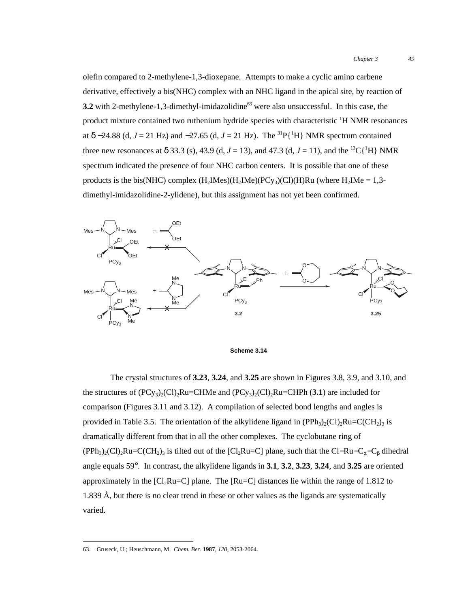olefin compared to 2-methylene-1,3-dioxepane. Attempts to make a cyclic amino carbene derivative, effectively a bis(NHC) complex with an NHC ligand in the apical site, by reaction of **3.2** with 2-methylene-1,3-dimethyl-imidazolidine<sup>63</sup> were also unsuccessful. In this case, the product mixture contained two ruthenium hydride species with characteristic <sup>1</sup>H NMR resonances at  $\delta$  –24.88 (d, *J* = 21 Hz) and –27.65 (d, *J* = 21 Hz). The <sup>31</sup>P{<sup>1</sup>H} NMR spectrum contained three new resonances at  $\delta$  33.3 (s), 43.9 (d, *J* = 13), and 47.3 (d, *J* = 11), and the <sup>13</sup>C{<sup>1</sup>H} NMR spectrum indicated the presence of four NHC carbon centers. It is possible that one of these products is the bis(NHC) complex  $(H_2Mes)(H_2Mes)(PCy_3)(Cl)(H)Ru$  (where  $H_2Mse = 1,3$ dimethyl-imidazolidine-2-ylidene), but this assignment has not yet been confirmed.



**Scheme 3.14**

The crystal structures of **3.23**, **3.24**, and **3.25** are shown in Figures 3.8, 3.9, and 3.10, and the structures of  $(PCy_3)_2(Cl)_2Ru=CHMe$  and  $(PCy_3)_2(Cl)_2Ru=CHPh$  (3.1) are included for comparison (Figures 3.11 and 3.12). A compilation of selected bond lengths and angles is provided in Table 3.5. The orientation of the alkylidene ligand in  $(PPh<sub>3</sub>)<sub>2</sub>(Cl)<sub>2</sub>Ru=C(CH<sub>2</sub>)<sub>3</sub>$  is dramatically different from that in all the other complexes. The cyclobutane ring of  $(PPh_3)_2(Cl)_2Ru=C(CH_2)_3$  is tilted out of the [Cl<sub>2</sub>Ru=C] plane, such that the Cl–Ru–C<sub>α</sub>–C<sub>β</sub> dihedral angle equals 59°. In contrast, the alkylidene ligands in **3.1**, **3.2**, **3.23**, **3.24**, and **3.25** are oriented approximately in the  $\lbrack Cl_2Ru=Cl_2$  plane. The  $\lbrack Ru=Cl_2$  distances lie within the range of 1.812 to 1.839 Å, but there is no clear trend in these or other values as the ligands are systematically varied.

 <sup>63.</sup> Gruseck, U.; Heuschmann, M. *Chem. Ber.* **<sup>1987</sup>**, *120*, 2053-2064.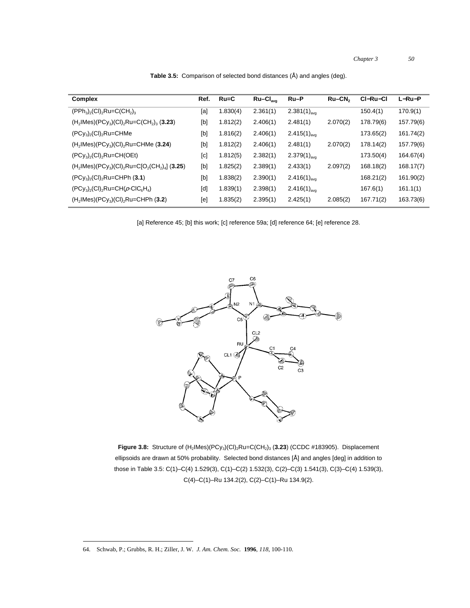*Chapter 3 50*

| Complex                                                                                   |     | $Ru=C$   | $Ru-CI_{avg}$ | Ru-P                     | $Ru-CN2$ | CI-Ru-CI  | $L-Ru-P$  |
|-------------------------------------------------------------------------------------------|-----|----------|---------------|--------------------------|----------|-----------|-----------|
| $(PPh_3)$ <sub>2</sub> $(Cl)_2$ Ru=C $(CH_2)_3$                                           |     | 1.830(4) | 2.361(1)      | $2.381(1)_{avg}$         |          | 150.4(1)  | 170.9(1)  |
| $(H_2$ IMes $)(PCy_3)(Cl)_2$ Ru=C $(CH_2)_3$ (3.23)                                       |     | 1.812(2) | 2.406(1)      | 2.481(1)                 | 2.070(2) | 178.79(6) | 157.79(6) |
| $(PCy_3)_2$ (CI) <sub>2</sub> Ru=CHMe                                                     | [b] | 1.816(2) | 2.406(1)      | $2.415(1)_{\text{avg}}$  |          | 173.65(2) | 161.74(2) |
| $(H_2$ IMes $)(PCy_3)(Cl)_2$ Ru=CHMe (3.24)                                               |     | 1.812(2) | 2.406(1)      | 2.481(1)                 | 2.070(2) | 178.14(2) | 157.79(6) |
| $(PCy_3)$ <sub>2</sub> $(Cl)$ <sub>2</sub> $Ru=CH(OEt)$                                   |     | 1.812(5) | 2.382(1)      | $2.379(1)_{\text{ava}}$  |          | 173.50(4) | 164.67(4) |
| $(H_2$ IMes $)(PCy_3)(Cl)_2$ Ru=C[O <sub>2</sub> (CH <sub>2</sub> ) <sub>4</sub> ] (3.25) |     | 1.825(2) | 2.389(1)      | 2.433(1)                 | 2.097(2) | 168.18(2) | 168.17(7) |
| $(PCy_3)_{2}(Cl)_{2}Ru=CHPh (3.1)$                                                        |     | 1.838(2) | 2.390(1)      | $2.416(1)_{\text{avg}}$  |          | 168.21(2) | 161.90(2) |
| $(PCy_3)$ <sub>2</sub> $(Cl)$ <sub>2</sub> $Ru=CH(\rho-CIC_6H_4)$                         |     | 1.839(1) | 2.398(1)      | 2.416 $(1)_{\text{ava}}$ |          | 167.6(1)  | 161.1(1)  |
| $(H2$ IMes $)(PCy3)(Cl)2Ru=CHPh (3.2)$                                                    | [e] | 1.835(2) | 2.395(1)      | 2.425(1)                 | 2.085(2) | 167.71(2) | 163.73(6) |
|                                                                                           |     |          |               |                          |          |           |           |

**Table 3.5:** Comparison of selected bond distances (Å) and angles (deg).

[a] Reference 45; [b] this work; [c] reference 59a; [d] reference 64; [e] reference 28.



Figure 3.8: Structure of  $(H_2|Mes)(PCy_3)(Cl)_2Ru=C(CH_2)_3$  (3.23) (CCDC #183905). Displacement ellipsoids are drawn at 50% probability. Selected bond distances [Å] and angles [deg] in addition to those in Table 3.5: C(1)–C(4) 1.529(3), C(1)–C(2) 1.532(3), C(2)–C(3) 1.541(3), C(3)–C(4) 1.539(3), C(4)–C(1)–Ru 134.2(2), C(2)–C(1)–Ru 134.9(2).

64. Schwab, P.; Grubbs, R. H.; Ziller, J. W. *J. Am. Chem. Soc.* **<sup>1996</sup>**, *118*, 100-110.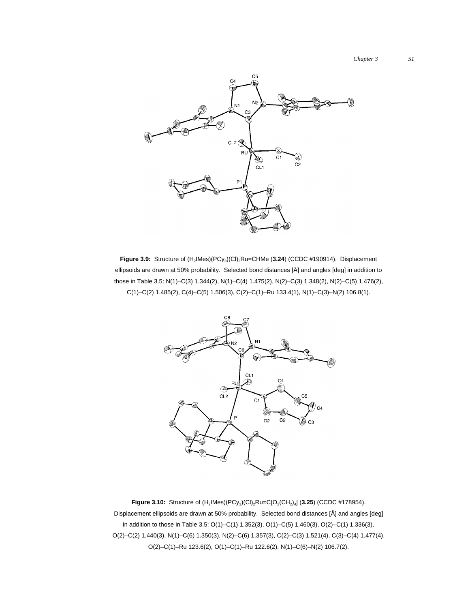

Figure 3.9: Structure of  $(H_2|Mes)(PCy_3)(Cl)_2Ru=CHMe$  (3.24) (CCDC #190914). Displacement ellipsoids are drawn at 50% probability. Selected bond distances [Å] and angles [deg] in addition to those in Table 3.5: N(1)–C(3) 1.344(2), N(1)–C(4) 1.475(2), N(2)–C(3) 1.348(2), N(2)–C(5) 1.476(2),  $C(1)-C(2)$  1.485(2),  $C(4)-C(5)$  1.506(3),  $C(2)-C(1)-Ru$  133.4(1),  $N(1)-C(3)-N(2)$  106.8(1).



**Figure 3.10:** Structure of  $(H_2 | Mes)(PCy_3)(Cl)_2 Ru = C[O_2(CH_2)_4]$  (3.25) (CCDC #178954). Displacement ellipsoids are drawn at 50% probability. Selected bond distances [Å] and angles [deg] in addition to those in Table 3.5: O(1)–C(1) 1.352(3), O(1)–C(5) 1.460(3), O(2)–C(1) 1.336(3), O(2)–C(2) 1.440(3), N(1)–C(6) 1.350(3), N(2)–C(6) 1.357(3), C(2)–C(3) 1.521(4), C(3)–C(4) 1.477(4), O(2)–C(1)–Ru 123.6(2), O(1)–C(1)–Ru 122.6(2), N(1)–C(6)–N(2) 106.7(2).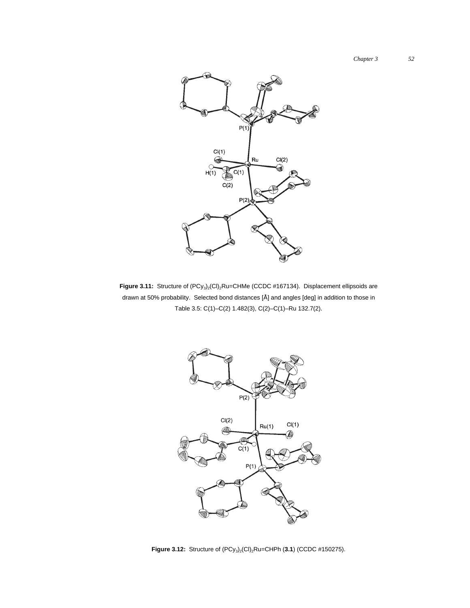

Figure 3.11: Structure of  $(PCy_3)_2$ (Cl)<sub>2</sub>Ru=CHMe (CCDC #167134). Displacement ellipsoids are drawn at 50% probability. Selected bond distances [Å] and angles [deg] in addition to those in Table 3.5: C(1)–C(2) 1.482(3), C(2)–C(1)–Ru 132.7(2).



**Figure 3.12:** Structure of  $(PCy_3)_2$ (Cl)<sub>2</sub>Ru=CHPh (3.1) (CCDC #150275).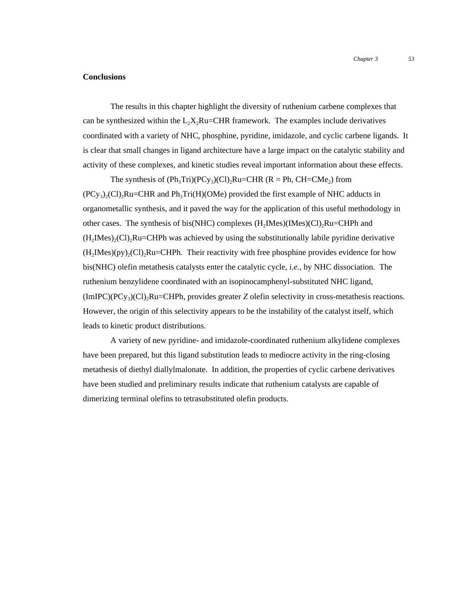### **Conclusions**

The results in this chapter highlight the diversity of ruthenium carbene complexes that can be synthesized within the  $L_2X_2Ru=CHR$  framework. The examples include derivatives coordinated with a variety of NHC, phosphine, pyridine, imidazole, and cyclic carbene ligands. It is clear that small changes in ligand architecture have a large impact on the catalytic stability and activity of these complexes, and kinetic studies reveal important information about these effects.

The synthesis of  $(Ph_3Tri)(PCy_3)(Cl)_2Ru=CHR (R = Ph, CH=CMe_2)$  from  $(PCy<sub>3</sub>)(Cl)$ <sub>2</sub>Ru=CHR and Ph<sub>3</sub>Tri(H)(OMe) provided the first example of NHC adducts in organometallic synthesis, and it paved the way for the application of this useful methodology in other cases. The synthesis of bis(NHC) complexes  $(H<sub>2</sub>Imes)(Imes)(Cl)<sub>2</sub>Ru=CHPh$  and  $(H<sub>2</sub>IMes)<sub>2</sub>(Cl)<sub>2</sub>Ru=CHPh was achieved by using the substitutionally labile pyridine derivative$  $(H<sub>2</sub>Mes)(py)<sub>2</sub>(Cl)<sub>2</sub>Ru=CHPh.$  Their reactivity with free phosphine provides evidence for how bis(NHC) olefin metathesis catalysts enter the catalytic cycle, *i.e.*, by NHC dissociation. The ruthenium benzylidene coordinated with an isopinocamphenyl-substituted NHC ligand,  $(ImIPC)(PC_{y3})(Cl)_2Ru=CHPh$ , provides greater *Z* olefin selectivity in cross-metathesis reactions. However, the origin of this selectivity appears to be the instability of the catalyst itself, which leads to kinetic product distributions.

A variety of new pyridine- and imidazole-coordinated ruthenium alkylidene complexes have been prepared, but this ligand substitution leads to mediocre activity in the ring-closing metathesis of diethyl diallylmalonate. In addition, the properties of cyclic carbene derivatives have been studied and preliminary results indicate that ruthenium catalysts are capable of dimerizing terminal olefins to tetrasubstituted olefin products.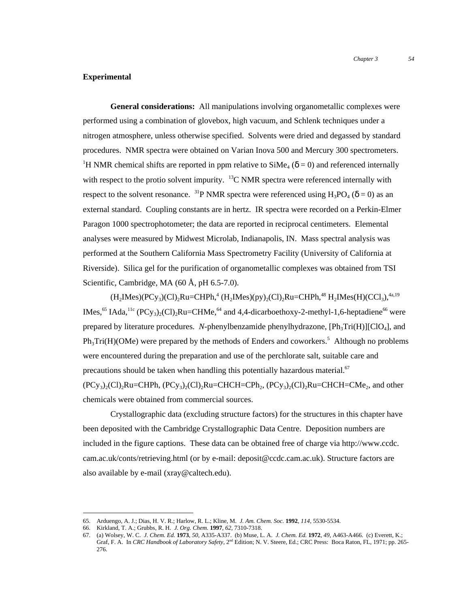### **Experimental**

**General considerations:** All manipulations involving organometallic complexes were performed using a combination of glovebox, high vacuum, and Schlenk techniques under a nitrogen atmosphere, unless otherwise specified. Solvents were dried and degassed by standard procedures. NMR spectra were obtained on Varian Inova 500 and Mercury 300 spectrometers. <sup>1</sup>H NMR chemical shifts are reported in ppm relative to  $\text{SiMe}_4$  ( $\delta$  = 0) and referenced internally with respect to the protio solvent impurity.  $^{13}$ C NMR spectra were referenced internally with respect to the solvent resonance. <sup>31</sup>P NMR spectra were referenced using  $H_3PO_4$  ( $\delta = 0$ ) as an external standard. Coupling constants are in hertz. IR spectra were recorded on a Perkin-Elmer Paragon 1000 spectrophotometer; the data are reported in reciprocal centimeters. Elemental analyses were measured by Midwest Microlab, Indianapolis, IN. Mass spectral analysis was performed at the Southern California Mass Spectrometry Facility (University of California at Riverside). Silica gel for the purification of organometallic complexes was obtained from TSI Scientific, Cambridge, MA (60 Å, pH 6.5-7.0).

 $(H_2Mes)(PCy_3)(Cl)_2Ru=CHPh,$ <sup>4</sup>  $(H_2Mes)(py)_2(Cl)_2Ru=CHPh,$ <sup>48</sup>  $H_2Mes(H)(CCl_3),$ <sup>4a,19</sup> IMes,<sup>65</sup> IAda,<sup>11c</sup> (PCy<sub>3</sub>)<sub>2</sub>(Cl)<sub>2</sub>Ru=CHMe,<sup>64</sup> and 4,4-dicarboethoxy-2-methyl-1,6-heptadiene<sup>66</sup> were prepared by literature procedures. *N*-phenylbenzamide phenylhydrazone,  $[Ph_3Tri(H)][ClO_4]$ , and  $Ph_3Tri(H)(OMe)$  were prepared by the methods of Enders and coworkers.<sup>5</sup> Although no problems were encountered during the preparation and use of the perchlorate salt, suitable care and precautions should be taken when handling this potentially hazardous material. $67$  $(PCy_3)_{2}(Cl)_{2}Ru=CHPh$ ,  $(PCy_3)_{2}(Cl)_{2}Ru=CHCH=CPh_2$ ,  $(PCy_3)_{2}(Cl)_{2}Ru=CHCH=CMe_2$ , and other chemicals were obtained from commercial sources.

Crystallographic data (excluding structure factors) for the structures in this chapter have been deposited with the Cambridge Crystallographic Data Centre. Deposition numbers are included in the figure captions. These data can be obtained free of charge via http://www.ccdc. cam.ac.uk/conts/retrieving.html (or by e-mail: deposit@ccdc.cam.ac.uk). Structure factors are also available by e-mail (xray@caltech.edu).

 <sup>65.</sup> Arduengo, A. J.; Dias, H. V. R.; Harlow, R. L.; Kline, M. *J. Am. Chem. Soc.* **<sup>1992</sup>**, *114*, 5530-5534.

<sup>66.</sup> Kirkland, T. A.; Grubbs, R. H. *J. Org. Chem.* **1997**, *62*, 7310-7318.

<sup>67.</sup> (a) Wolsey, W. C. *J. Chem. Ed.* **1973**, *50*, A335-A337. (b) Muse, L. A. *J. Chem. Ed.* **1972**, *49*, A463-A466. (c) Everett, K.; Graf, F. A. In *CRC Handbook of Laboratory Safety*, 2nd Edition; N. V. Steere, Ed.; CRC Press: Boca Raton, FL, 1971; pp. 265- 276.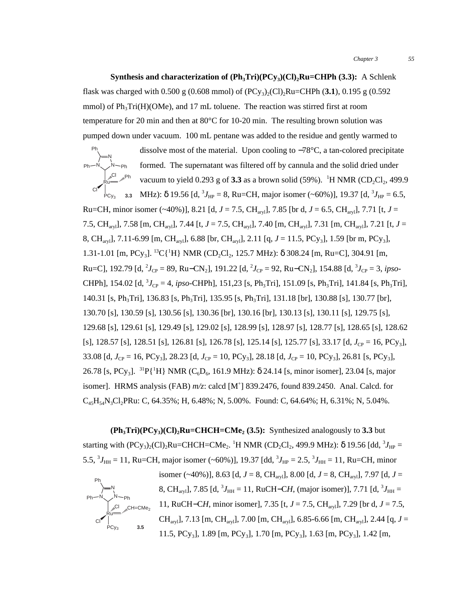**Synthesis and characterization of**  $(Ph_3Tri)(PCy_3)(Cl)_2Ru=CHPh (3.3):$  A Schlenk flask was charged with 0.500 g (0.608 mmol) of  $(PCy_3)_2$ (Cl)<sub>2</sub>Ru=CHPh (3.1), 0.195 g (0.592) mmol) of  $Ph<sub>3</sub>Tri(H)(OMe)$ , and 17 mL toluene. The reaction was stirred first at room temperature for 20 min and then at 80°C for 10-20 min. The resulting brown solution was pumped down under vacuum. 100 mL pentane was added to the residue and gently warmed to

dissolve most of the material. Upon cooling to −78°C, a tan-colored precipitate formed. The supernatant was filtered off by cannula and the solid dried under vacuum to yield  $0.293$  g of  $3.3$  as a brown solid (59%). <sup>1</sup>H NMR (CD<sub>2</sub>Cl<sub>2</sub>, 499.9 **3.3** MHz):  $\delta$  19.56 [d,  ${}^{3}J_{HP} = 8$ , Ru=CH, major isomer (~60%)], 19.37 [d,  ${}^{3}J_{HP} = 6.5$ , Ru Cl Cl N N  $Ph - N \swarrow N$  - Ph Ph PC<sub>y3</sub> Ph

Ru=CH, minor isomer (~40%)], 8.21 [d,  $J = 7.5$ , CH<sub>arv</sub>], 7.85 [br d,  $J = 6.5$ , CH<sub>arv</sub>], 7.71 [t,  $J =$ 7.5, CHaryl], 7.58 [m, CHaryl], 7.44 [t, *J* = 7.5, CHaryl], 7.40 [m, CHaryl], 7.31 [m, CHaryl], 7.21 [t, *J* = 8, CHaryl], 7.11-6.99 [m, CHaryl], 6.88 [br, CHaryl], 2.11 [q, *J* = 11.5, PCy3], 1.59 [br m, PCy3], 1.31-1.01 [m, PCy<sub>3</sub>]. <sup>13</sup>C{<sup>1</sup>H} NMR (CD<sub>2</sub>Cl<sub>2</sub>, 125.7 MHz): δ 308.24 [m, Ru=C], 304.91 [m,  $Ru=Cl$ , 192.79  $[d, {}^{2}J_{CP} = 89$ ,  $Ru=CN_{2}$ ], 191.22  $[d, {}^{2}J_{CP} = 92$ ,  $Ru=CN_{2}$ ], 154.88  $[d, {}^{3}J_{CP} = 3$ , *ipso*-CHPh], 154.02 [d,  ${}^{3}J_{CP} = 4$ , *ipso*-CHPh], 151,23 [s, Ph<sub>3</sub>Tri], 151.09 [s, Ph<sub>3</sub>Tri], 141.84 [s, Ph<sub>3</sub>Tri], 140.31 [s, Ph<sub>3</sub>Tri], 136.83 [s, Ph<sub>3</sub>Tri], 135.95 [s, Ph<sub>3</sub>Tri], 131.18 [br], 130.88 [s], 130.77 [br], 130.70 [s], 130.59 [s], 130.56 [s], 130.36 [br], 130.16 [br], 130.13 [s], 130.11 [s], 129.75 [s], 129.68 [s], 129.61 [s], 129.49 [s], 129.02 [s], 128.99 [s], 128.97 [s], 128.77 [s], 128.65 [s], 128.62 [s], 128.57 [s], 128.51 [s], 126.81 [s], 126.78 [s], 125.14 [s], 125.77 [s], 33.17 [d,  $J_{CP} = 16$ , PCy<sub>3</sub>], 33.08 [d, *J*<sub>CP</sub> = 16, PCy<sub>3</sub>], 28.23 [d, *J*<sub>CP</sub> = 10, PCy<sub>3</sub>], 28.18 [d, *J*<sub>CP</sub> = 10, PCy<sub>3</sub>], 26.81 [s, PCy<sub>3</sub>], 26.78 [s, PCy<sub>3</sub>]. <sup>31</sup>P{<sup>1</sup>H} NMR (C<sub>6</sub>D<sub>6</sub>, 161.9 MHz):  $\delta$  24.14 [s, minor isomer], 23.04 [s, major isomer]. HRMS analysis (FAB)  $m/z$ : calcd [M<sup>+</sup>] 839.2476, found 839.2450. Anal. Calcd. for C45H54N3Cl2PRu: C, 64.35%; H, 6.48%; N, 5.00%. Found: C, 64.64%; H, 6.31%; N, 5.04%.

 $(Ph<sub>3</sub>Tri)(PCy<sub>3</sub>)(Cl)<sub>2</sub>Ru=CHCH=CMe<sub>2</sub> (3.5):$  Synthesized analogously to 3.3 but starting with (PCy<sub>3</sub>)<sub>2</sub>(Cl)<sub>2</sub>Ru=CHCH=CMe<sub>2</sub>. <sup>1</sup>H NMR (CD<sub>2</sub>Cl<sub>2</sub>, 499.9 MHz): δ 19.56 [dd, <sup>3</sup>J<sub>HP</sub> = 5.5,  ${}^{3}J_{\text{HH}} = 11$ , Ru=CH, major isomer (~60%)], 19.37 [dd,  ${}^{3}J_{\text{HP}} = 2.5$ ,  ${}^{3}J_{\text{HH}} = 11$ , Ru=CH, minor



isomer (~40%)], 8.63 [d, *J* = 8, CHaryl], 8.00 [d, *J* = 8, CHaryl], 7.97 [d, *J* = 8, CH<sub>ary</sub>], 7.85 [d,  ${}^{3}J_{\text{HH}} = 11$ , RuCH–CH, (major isomer)], 7.71 [d,  ${}^{3}J_{\text{HH}} =$ CH=CMe<sub>2</sub> 11, RuCH–CH, minor isomer], 7.35 [t, *J* = 7.5, CH<sub>aryl</sub>], 7.29 [br d, *J* = 7.5, CHaryl], 7.13 [m, CHaryl], 7.00 [m, CHaryl], 6.85-6.66 [m, CHaryl], 2.44 [q, *J* = 11.5, PCy<sub>3</sub>], 1.89 [m, PCy<sub>3</sub>], 1.70 [m, PCy<sub>3</sub>], 1.63 [m, PCy<sub>3</sub>], 1.42 [m,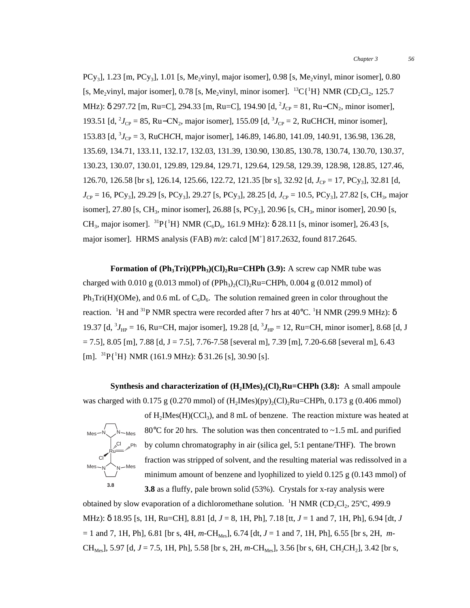$PCy_3$ ], 1.23 [m,  $PCy_3$ ], 1.01 [s, Me<sub>2</sub>vinyl, major isomer], 0.98 [s, Me<sub>2</sub>vinyl, minor isomer], 0.80 [s, Me<sub>2</sub>vinyl, major isomer], 0.78 [s, Me<sub>2</sub>vinyl, minor isomer]. <sup>13</sup>C{<sup>1</sup>H} NMR (CD<sub>2</sub>Cl<sub>2</sub>, 125.7 MHz): δ 297.72 [m, Ru=C], 294.33 [m, Ru=C], 194.90 [d, <sup>2</sup>J<sub>CP</sub> = 81, Ru–CN<sub>2</sub>, minor isomer], 193.51 [d,  ${}^{2}J_{CP}$  = 85, Ru–CN<sub>2</sub>, major isomer], 155.09 [d,  ${}^{3}J_{CP}$  = 2, RuCH*C*H, minor isomer], 153.83 [d, <sup>3</sup>J<sub>CP</sub> = 3, RuCH*C*H, major isomer], 146.89, 146.80, 141.09, 140.91, 136.98, 136.28, 135.69, 134.71, 133.11, 132.17, 132.03, 131.39, 130.90, 130.85, 130.78, 130.74, 130.70, 130.37, 130.23, 130.07, 130.01, 129.89, 129.84, 129.71, 129.64, 129.58, 129.39, 128.98, 128.85, 127.46, 126.70, 126.58 [br s], 126.14, 125.66, 122.72, 121.35 [br s], 32.92 [d,  $J_{CP} = 17$ , PCy<sub>3</sub>], 32.81 [d,  $J_{CP} = 16$ , PCy<sub>3</sub>], 29.29 [s, PCy<sub>3</sub>], 29.27 [s, PCy<sub>3</sub>], 28.25 [d,  $J_{CP} = 10.5$ , PCy<sub>3</sub>], 27.82 [s, CH<sub>3</sub>, major isomer], 27.80 [s, CH<sub>3</sub>, minor isomer], 26.88 [s, PCy<sub>3</sub>], 20.96 [s, CH<sub>3</sub>, minor isomer], 20.90 [s, CH<sub>3</sub>, major isomer]. <sup>31</sup>P{<sup>1</sup>H} NMR (C<sub>6</sub>D<sub>6</sub>, 161.9 MHz): δ 28.11 [s, minor isomer], 26.43 [s, major isomer]. HRMS analysis (FAB)  $m/z$ : calcd [M<sup>+</sup>] 817.2632, found 817.2645.

**Formation of**  $(\text{Ph}_3\text{Tri})(\text{PPh}_3)(\text{Cl})_2\text{Ru}=\text{CHPh}(3.9)$ **:** A screw cap NMR tube was charged with 0.010 g (0.013 mmol) of (PPh<sub>3</sub>)<sub>2</sub>(Cl)<sub>2</sub>Ru=CHPh, 0.004 g (0.012 mmol) of  $Ph_3Tri(H)(OMe)$ , and 0.6 mL of  $C_6D_6$ . The solution remained green in color throughout the reaction. <sup>1</sup>H and <sup>31</sup>P NMR spectra were recorded after 7 hrs at 40°C. <sup>1</sup>H NMR (299.9 MHz): δ 19.37 [d,  ${}^{3}J_{HP} = 16$ , Ru=CH, major isomer], 19.28 [d,  ${}^{3}J_{HP} = 12$ , Ru=CH, minor isomer], 8.68 [d, J  $= 7.5$ ], 8.05 [m], 7.88 [d, J = 7.5], 7.76-7.58 [several m], 7.39 [m], 7.20-6.68 [several m], 6.43 [m].  ${}^{31}P{^1H}$  NMR (161.9 MHz): δ 31.26 [s], 30.90 [s].

**Synthesis and characterization of**  $(H_2Mes)_{2}(Cl)_2Ru=CHPh (3.8):$  A small ampoule was charged with 0.175 g (0.270 mmol) of  $(H_2Mes)(py)_2(Cl)_2Ru=CHPh$ , 0.173 g (0.406 mmol)



of  $H_2$ IMes( $H$ )(CCl<sub>3</sub>), and 8 mL of benzene. The reaction mixture was heated at 80 $^{\circ}$ C for 20 hrs. The solution was then concentrated to ~1.5 mL and purified by column chromatography in air (silica gel, 5:1 pentane/THF). The brown fraction was stripped of solvent, and the resulting material was redissolved in a minimum amount of benzene and lyophilized to yield 0.125 g (0.143 mmol) of **3.8** as a fluffy, pale brown solid (53%). Crystals for x-ray analysis were

obtained by slow evaporation of a dichloromethane solution.  ${}^{1}H NMR (CD_2Cl_2, 25°C, 499.9)$ MHz): δ 18.95 [s, 1H, Ru=CH], 8.81 [d, *J* = 8, 1H, Ph], 7.18 [tt, *J* = 1 and 7, 1H, Ph], 6.94 [dt, *J*  $= 1$  and 7, 1H, Ph], 6.81 [br s, 4H, *m*-CH<sub>Mes</sub>], 6.74 [dt, *J* = 1 and 7, 1H, Ph], 6.55 [br s, 2H, *m*-CH<sub>Mes</sub>], 5.97 [d, *J* = 7.5, 1H, Ph], 5.58 [br s, 2H, *m*-CH<sub>Mes</sub>], 3.56 [br s, 6H, CH<sub>2</sub>CH<sub>2</sub>], 3.42 [br s,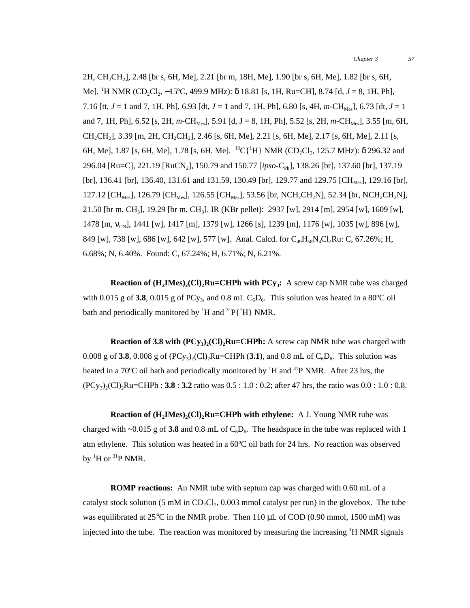2H, CH<sub>2</sub>CH<sub>2</sub>], 2.48 [br s, 6H, Me], 2.21 [br m, 18H, Me], 1.90 [br s, 6H, Me], 1.82 [br s, 6H, Me]. <sup>1</sup>H NMR (CD<sub>2</sub>Cl<sub>2</sub>, −15°C, 499.9 MHz): δ 18.81 [s, 1H, Ru=CH], 8.74 [d, *J* = 8, 1H, Ph], 7.16 [tt,  $J = 1$  and 7, 1H, Ph], 6.93 [dt,  $J = 1$  and 7, 1H, Ph], 6.80 [s, 4H,  $m\text{-CH}_{\text{Mes}}$ ], 6.73 [dt,  $J = 1$ and 7, 1H, Ph], 6.52 [s, 2H,  $m$ -CH<sub>Mes</sub>], 5.91 [d, J = 8, 1H, Ph], 5.52 [s, 2H,  $m$ -CH<sub>Mes</sub>], 3.55 [m, 6H,  $CH_2CH_2$ ], 3.39 [m, 2H, CH<sub>2</sub>CH<sub>2</sub>], 2.46 [s, 6H, Me], 2.21 [s, 6H, Me], 2.17 [s, 6H, Me], 2.11 [s, 6H, Me], 1.87 [s, 6H, Me], 1.78 [s, 6H, Me]. <sup>13</sup>C{<sup>1</sup>H} NMR (CD<sub>2</sub>Cl<sub>2</sub>, 125.7 MHz): δ 296.32 and 296.04 [Ru=C], 221.19 [RuCN2], 150.79 and 150.77 [*ipso*-CPh], 138.26 [br], 137.60 [br], 137.19 [br], 136.41 [br], 136.40, 131.61 and 131.59, 130.49 [br], 129.77 and 129.75 [CH<sub>Mes</sub>], 129.16 [br], 127.12 [CH<sub>Mes</sub>], 126.79 [CH<sub>Mes</sub>], 126.55 [CH<sub>Mes</sub>], 53.56 [br, NCH<sub>2</sub>CH<sub>2</sub>N], 52.34 [br, NCH<sub>2</sub>CH<sub>2</sub>N], 21.50 [br m, CH3], 19.29 [br m, CH3]. IR (KBr pellet): 2937 [w], 2914 [m], 2954 [w], 1609 [w],  $1478$  [m, v<sub>CN</sub>], 1441 [w], 1417 [m], 1379 [w], 1266 [s], 1239 [m], 1176 [w], 1035 [w], 896 [w], 849 [w], 738 [w], 686 [w], 642 [w], 577 [w]. Anal. Calcd. for  $C_{49}H_{58}N_4Cl_2Ru$ : C, 67.26%; H, 6.68%; N, 6.40%. Found: C, 67.24%; H, 6.71%; N, 6.21%.

**Reaction of**  $(H_2IMes)_{2}(Cl)_{2}Ru=CHPh$  **with**  $PCy_{3}$ **:** A screw cap NMR tube was charged with 0.015 g of **3.8**, 0.015 g of PC<sub>Y<sub>3</sub></sub>, and 0.8 mL  $C_6D_6$ . This solution was heated in a 80<sup>o</sup>C oil bath and periodically monitored by  ${}^{1}H$  and  ${}^{31}P\{{}^{1}H\}$  NMR.

**Reaction of 3.8 with**  $(PCy_3)_2(Cl)_2Ru=CHPh$ **:** A screw cap NMR tube was charged with 0.008 g of **3.8**, 0.008 g of  $(PCy_3)_{2}(Cl)_{2}Ru=CHPh (3.1)$ , and 0.8 mL of  $C_6D_6$ . This solution was heated in a 70°C oil bath and periodically monitored by <sup>1</sup>H and <sup>31</sup>P NMR. After 23 hrs, the  $(PC_{y_3})_2$ (Cl)<sub>2</sub>Ru=CHPh : **3.8** : **3.2** ratio was 0.5 : 1.0 : 0.2; after 47 hrs, the ratio was 0.0 : 1.0 : 0.8.

**Reaction of (H<sub>2</sub>IMes)<sub>2</sub>(Cl)<sub>2</sub>Ru=CHPh with ethylene:** A J. Young NMR tube was charged with  $\sim 0.015$  g of 3.8 and 0.8 mL of  $C_6D_6$ . The headspace in the tube was replaced with 1 atm ethylene. This solution was heated in a 60ºC oil bath for 24 hrs. No reaction was observed by  ${}^{1}$ H or  ${}^{31}$ P NMR.

**ROMP reactions:** An NMR tube with septum cap was charged with 0.60 mL of a catalyst stock solution (5 mM in  $CD_2Cl_2$ , 0.003 mmol catalyst per run) in the glovebox. The tube was equilibrated at  $25^{\circ}$ C in the NMR probe. Then 110  $\mu$ L of COD (0.90 mmol, 1500 mM) was injected into the tube. The reaction was monitored by measuring the increasing <sup>1</sup>H NMR signals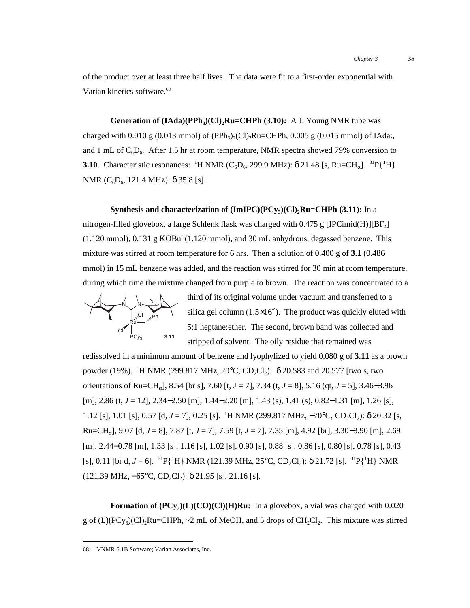of the product over at least three half lives. The data were fit to a first-order exponential with Varian kinetics software.<sup>68</sup>

**Generation of**  $(Idda)(PPh<sub>3</sub>)(Cl)$ **, Ru=CHPh**  $(3.10)$ **:** A J. Young NMR tube was charged with  $0.010 \text{ g } (0.013 \text{ mmol})$  of (PPh<sub>3</sub>)<sub>2</sub>(Cl)<sub>2</sub>Ru=CHPh, 0.005 g (0.015 mmol) of IAda:, and 1 mL of  $C_6D_6$ . After 1.5 hr at room temperature, NMR spectra showed 79% conversion to **3.10**. Characteristic resonances: <sup>1</sup>H NMR ( $C_6D_6$ , 299.9 MHz):  $\delta$  21.48 [s, Ru=CH<sub>α</sub>]. <sup>31</sup>P{<sup>1</sup>H} NMR ( $C_6D_6$ , 121.4 MHz): δ 35.8 [s].

### **Synthesis and characterization of**  $(ImIPC)(PCy_3)(Cl)_2Ru=CHPh (3.11)$ **:** In a

nitrogen-filled glovebox, a large Schlenk flask was charged with 0.475 g [IPCimid(H)][BF<sub>4</sub>]  $(1.120 \text{ mmol})$ ,  $0.131 \text{ g } KOBu^t$   $(1.120 \text{ mmol})$ , and  $30 \text{ mL}$  anhydrous, degassed benzene. This mixture was stirred at room temperature for 6 hrs. Then a solution of 0.400 g of **3.1** (0.486 mmol) in 15 mL benzene was added, and the reaction was stirred for 30 min at room temperature, during which time the mixture changed from purple to brown. The reaction was concentrated to a



silica gel column  $(1.5\times16'')$ . The product was quickly eluted with 5:1 heptane:ether. The second, brown band was collected and stripped of solvent. The oily residue that remained was

third of its original volume under vacuum and transferred to a

redissolved in a minimum amount of benzene and lyophylized to yield 0.080 g of **3.11** as a brown powder (19%). <sup>1</sup>H NMR (299.817 MHz, 20°C, CD<sub>2</sub>Cl<sub>2</sub>): δ 20.583 and 20.577 [two s, two orientations of Ru=CH<sub>α</sub>], 8.54 [br s], 7.60 [t, J = 7], 7.34 (t, J = 8], 5.16 (qt, J = 5], 3.46–3.96 [m], 2.86 (t, *J* = 12], 2.34−2.50 [m], 1.44−2.20 [m], 1.43 (s), 1.41 (s), 0.82−1.31 [m], 1.26 [s], 1.12 [s], 1.01 [s], 0.57 [d, *J* = 7], 0.25 [s]. <sup>1</sup>H NMR (299.817 MHz, −70°C, CD<sub>2</sub>Cl<sub>2</sub>): δ 20.32 [s, Ru=CHα], 9.07 [d, *J* = 8], 7.87 [t, *J* = 7], 7.59 [t, *J* = 7], 7.35 [m], 4.92 [br], 3.30−3.90 [m], 2.69 [m], 2.44−0.78 [m], 1.33 [s], 1.16 [s], 1.02 [s], 0.90 [s], 0.88 [s], 0.86 [s], 0.80 [s], 0.78 [s], 0.43 [s], 0.11 [br d, *J* = 6]. <sup>31</sup>P{<sup>1</sup>H} NMR (121.39 MHz, 25<sup>o</sup>C, CD<sub>2</sub>Cl<sub>2</sub>):  $\delta$  21.72 [s]. <sup>31</sup>P{<sup>1</sup>H} NMR  $(121.39 \text{ MHz}, -65^{\circ}\text{C}, \text{CD}, \text{Cl}_2): \delta 21.95 \text{ [s]}, 21.16 \text{ [s]}.$ 

**Formation of**  $(PCy_3)(L)(CO)(C)(H)Ru:$  In a glovebox, a vial was charged with 0.020 g of  $(L)(PC_{y3})(Cl)$ -Ru=CHPh,  $\sim$  2 mL of MeOH, and 5 drops of CH<sub>2</sub>Cl<sub>2</sub>. This mixture was stirred

 <sup>68.</sup> VNMR 6.1B Software; Varian Associates, Inc.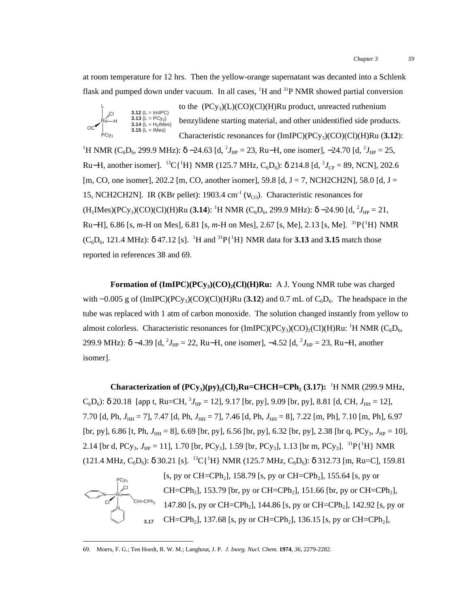at room temperature for 12 hrs. Then the yellow-orange supernatant was decanted into a Schlenk flask and pumped down under vacuum. In all cases, <sup>1</sup>H and <sup>31</sup>P NMR showed partial conversion



to the  $(PCy_3)(L)(CO)(Cl)(H)Ru$  product, unreacted ruthenium benzylidene starting material, and other unidentified side products. Characteristic resonances for (ImIPC)(PCy3)(CO)(Cl)(H)Ru (**3.12**):

<sup>1</sup>H NMR (C<sub>6</sub>D<sub>6</sub>, 299.9 MHz): δ –24.63 [d, <sup>2</sup>J<sub>HP</sub> = 23, Ru–H, one isomer], –24.70 [d, <sup>2</sup>J<sub>HP</sub> = 25, Ru−H, another isomer]. <sup>13</sup>C{<sup>1</sup>H} NMR (125.7 MHz, C<sub>6</sub>D<sub>6</sub>): δ 214.8 [d, <sup>2</sup>J<sub>CP</sub> = 89, NCN], 202.6 [m, CO, one isomer], 202.2 [m, CO, another isomer], 59.8 [d, J = 7, NCH2CH2N], 58.0 [d, J = 15, NCH2CH2N]. IR (KBr pellet): 1903.4 cm<sup>-1</sup> ( $v_{\text{CO}}$ ). Characteristic resonances for  $(H_2$ IMes)(PCy<sub>3</sub>)(CO)(Cl)(H)Ru (**3.14**): <sup>1</sup>H NMR (C<sub>6</sub>D<sub>6</sub>, 299.9 MHz): δ −24.90 [d, <sup>2</sup>J<sub>HP</sub> = 21, Ru−H], 6.86 [s, *m*−H on Mes], 6.81 [s, *m*−H on Mes], 2.67 [s, Me], 2.13 [s, Me]. <sup>31</sup>P{<sup>1</sup>H} NMR  $(C_6D_6$ , 121.4 MHz): δ 47.12 [s]. <sup>1</sup>H and <sup>31</sup>P{<sup>1</sup>H} NMR data for **3.13** and **3.15** match those reported in references 38 and 69.

**Formation of**  $(ImIPC)(PCy_3)(CO)_2(CI)(H)Ru: A J. Young NMR$  **tube was charged** with ~0.005 g of  $(ImIPC)(PC_y)$ (CO)(Cl)(H)Ru (3.12) and 0.7 mL of  $C_6D_6$ . The headspace in the tube was replaced with 1 atm of carbon monoxide. The solution changed instantly from yellow to almost colorless. Characteristic resonances for  $(ImIPC)(PCy_3)(CO)_2(CI)(H)Ru:$ <sup>1</sup>H NMR  $(C_6D_6,$ 299.9 MHz): δ –4.39 [d, <sup>2</sup>J<sub>HP</sub> = 22, Ru–H, one isomer], –4.52 [d, <sup>2</sup>J<sub>HP</sub> = 23, Ru–H, another isomer].

**Characterization of**  $(PCy_3)(py)_2$ **(Cl)<sub>2</sub>Ru=CHCH=CPh<sub>2</sub> (3.17): <sup>1</sup>H NMR (299.9 MHz,**  $C_6D_6$ : δ 20.18 [app t, Ru=CH, <sup>3</sup> $J_{HP}$  = 12], 9.17 [br, py], 9.09 [br, py], 8.81 [d, CH,  $J_{HH}$  = 12], 7.70 [d, Ph, *J*<sub>HH</sub> = 7], 7.47 [d, Ph, *J*<sub>HH</sub> = 7], 7.46 [d, Ph, *J*<sub>HH</sub> = 8], 7.22 [m, Ph], 7.10 [m, Ph], 6.97 [br, py], 6.86 [t, Ph,  $J_{HH} = 8$ ], 6.69 [br, py], 6.56 [br, py], 6.32 [br, py], 2.38 [br q, PCy<sub>3</sub>,  $J_{HP} = 10$ ], 2.14 [br d, PCy<sub>3</sub>,  $J_{HP} = 11$ ], 1.70 [br, PCy<sub>3</sub>], 1.59 [br, PCy<sub>3</sub>], 1.13 [br m, PCy<sub>3</sub>]. <sup>31</sup>P{<sup>1</sup>H} NMR (121.4 MHz,  $C_6D_6$ ): δ 30.21 [s]. <sup>13</sup>C{<sup>1</sup>H} NMR (125.7 MHz,  $C_6D_6$ ): δ 312.73 [m, Ru=C], 159.81



[s, py or CH=CPh<sub>2</sub>], 158.79 [s, py or CH=CPh<sub>2</sub>], 155.64 [s, py or  $CH=CPh_2$ ], 153.79 [br, py or CH=CPh<sub>2</sub>], 151.66 [br, py or CH=CPh<sub>2</sub>], <sup>CH=CPh</sup>2  $\,$  147.80 [s, py or CH=CPh<sub>2</sub>], 144.86 [s, py or CH=CPh<sub>2</sub>], 142.92 [s, py or CH=CPh<sub>2</sub>], 137.68 [s, py or CH=CPh<sub>2</sub>], 136.15 [s, py or CH=CPh<sub>2</sub>],

 <sup>69.</sup> Moers, F. G.; Ten Hoedt, R. W. M.; Langhout, J. P. *J. Inorg. Nucl. Chem.* **<sup>1974</sup>**, *36*, 2279-2282.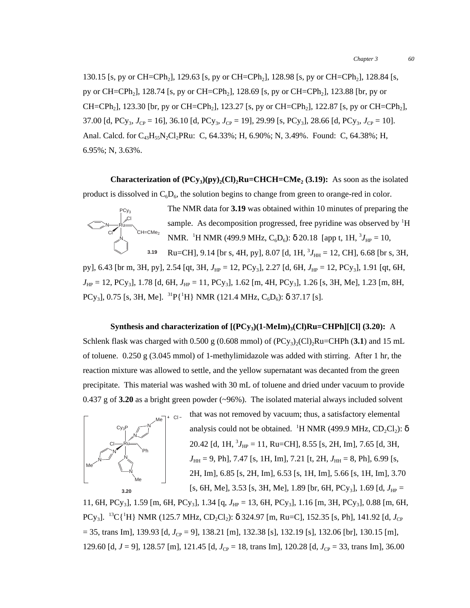130.15 [s, py or CH=CPh<sub>2</sub>], 129.63 [s, py or CH=CPh<sub>2</sub>], 128.98 [s, py or CH=CPh<sub>2</sub>], 128.84 [s, py or CH=CPh<sub>2</sub>], 128.74 [s, py or CH=CPh<sub>2</sub>], 128.69 [s, py or CH=CPh<sub>2</sub>], 123.88 [br, py or CH=CPh<sub>2</sub>], 123.30 [br, py or CH=CPh<sub>2</sub>], 123.27 [s, py or CH=CPh<sub>2</sub>], 122.87 [s, py or CH=CPh<sub>2</sub>], 37.00 [d, PCy<sub>3</sub>,  $J_{CP} = 16$ ], 36.10 [d, PCy<sub>3</sub>,  $J_{CP} = 19$ ], 29.99 [s, PCy<sub>3</sub>], 28.66 [d, PCy<sub>3</sub>,  $J_{CP} = 10$ ]. Anal. Calcd. for  $C_{43}H_{55}N_2Cl_2PRu$ : C, 64.33%; H, 6.90%; N, 3.49%. Found: C, 64.38%; H, 6.95%; N, 3.63%.

**Characterization of**  $(PCy_3)(py)_2(Cl)_2Ru=CHCH=CMe_2 (3.19)$ **:** As soon as the isolated product is dissolved in  $C_6D_6$ , the solution begins to change from green to orange-red in color.



The NMR data for **3.19** was obtained within 10 minutes of preparing the sample. As decomposition progressed, free pyridine was observed by <sup>1</sup>H NMR. <sup>1</sup>H NMR (499.9 MHz, C<sub>6</sub>D<sub>6</sub>): δ 20.18 [app t, 1H, <sup>3</sup>J<sub>HP</sub> = 10,

Ru=CH], 9.14 [br s, 4H, py], 8.07 [d, 1H,  $^{3}J_{\text{HH}} = 12$ , CH], 6.68 [br s, 3H, py], 6.43 [br m, 3H, py], 2.54 [qt, 3H,  $J_{HP} = 12$ , PCy<sub>3</sub>], 2.27 [d, 6H,  $J_{HP} = 12$ , PCy<sub>3</sub>], 1.91 [qt, 6H, *J*<sub>HP</sub> = 12, PCy<sub>3</sub>], 1.78 [d, 6H, *J*<sub>HP</sub> = 11, PCy<sub>3</sub>], 1.62 [m, 4H, PCy<sub>3</sub>], 1.26 [s, 3H, Me], 1.23 [m, 8H, PCy<sub>3</sub>], 0.75 [s, 3H, Me]. <sup>31</sup>P{<sup>1</sup>H} NMR (121.4 MHz, C<sub>6</sub>D<sub>6</sub>): δ 37.17 [s]. **3.19**

### **Synthesis and characterization of**  $[(PCy<sub>3</sub>)(1-MeIm)<sub>3</sub>(Cl)Ru=CHPh][Cl]$  **(3.20):** A

Schlenk flask was charged with  $0.500 \text{ g } (0.608 \text{ mmol})$  of  $(PCy_3)_2$ (Cl)<sub>2</sub>Ru=CHPh (3.1) and 15 mL of toluene. 0.250 g (3.045 mmol) of 1-methylimidazole was added with stirring. After 1 hr, the reaction mixture was allowed to settle, and the yellow supernatant was decanted from the green precipitate. This material was washed with 30 mL of toluene and dried under vacuum to provide 0.437 g of **3.20** as a bright green powder (~96%). The isolated material always included solvent



that was not removed by vacuum; thus, a satisfactory elemental analysis could not be obtained. <sup>1</sup>H NMR (499.9 MHz,  $CD_2Cl_2$ ):  $\delta$ 20.42 [d, 1H,  ${}^{3}J_{\text{HP}} = 11$ , Ru=CH], 8.55 [s, 2H, Im], 7.65 [d, 3H, *J*<sub>HH</sub> = 9, Ph], 7.47 [s, 1H, Im], 7.21 [t, 2H, *J*<sub>HH</sub> = 8, Ph], 6.99 [s, 2H, Im], 6.85 [s, 2H, Im], 6.53 [s, 1H, Im], 5.66 [s, 1H, Im], 3.70 [s, 6H, Me], 3.53 [s, 3H, Me], 1.89 [br, 6H, PCy<sub>3</sub>], 1.69 [d,  $J_{HP}$  =

11, 6H, PCy<sub>3</sub>], 1.59 [m, 6H, PCy<sub>3</sub>], 1.34 [q,  $J_{HP} = 13$ , 6H, PCy<sub>3</sub>], 1.16 [m, 3H, PCy<sub>3</sub>], 0.88 [m, 6H, PCy<sub>3</sub>]. <sup>13</sup>C{<sup>1</sup>H} NMR (125.7 MHz, CD<sub>2</sub>Cl<sub>2</sub>): δ 324.97 [m, Ru=C], 152.35 [s, Ph], 141.92 [d, *J*<sub>CP</sub>  $=$  35, trans Im], 139.93 [d,  $J_{CP}$  = 9], 138.21 [m], 132.38 [s], 132.19 [s], 132.06 [br], 130.15 [m], 129.60 [d, *J* = 9], 128.57 [m], 121.45 [d,  $J_{CP}$  = 18, trans Im], 120.28 [d,  $J_{CP}$  = 33, trans Im], 36.00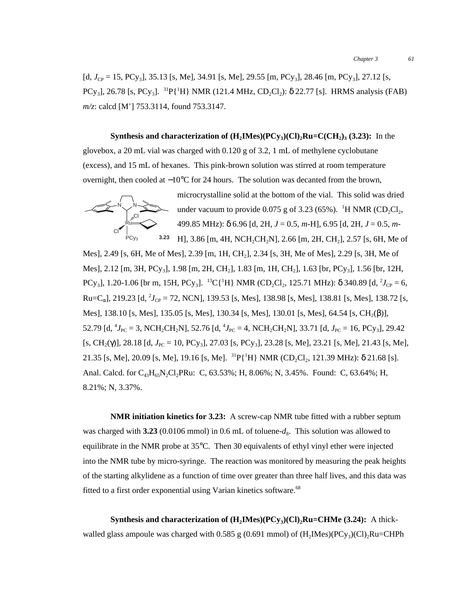$[d, J_{CP} = 15, PCy_3]$ , 35.13 [s, Me], 34.91 [s, Me], 29.55 [m, PCy<sub>3</sub>], 28.46 [m, PCy<sub>3</sub>], 27.12 [s, PCy<sub>3</sub>], 26.78 [s, PCy<sub>3</sub>]. <sup>31</sup>P{<sup>1</sup>H} NMR (121.4 MHz, CD<sub>2</sub>Cl<sub>2</sub>):  $\delta$  22.77 [s]. HRMS analysis (FAB) *m/z*: calcd [M<sup>+</sup> ] 753.3114, found 753.3147.

**Synthesis and characterization of**  $(H_2IMes)(PCy_3)(Cl), Ru=C(CH_2), (3.23)$ **:** In the glovebox, a 20 mL vial was charged with 0.120 g of 3.2, 1 mL of methylene cyclobutane (excess), and 15 mL of hexanes. This pink-brown solution was stirred at room temperature overnight, then cooled at −10°C for 24 hours. The solution was decanted from the brown,



microcrystalline solid at the bottom of the vial. This solid was dried under vacuum to provide  $0.075$  g of 3.23 (65%). <sup>1</sup>H NMR (CD<sub>2</sub>Cl<sub>2</sub>, 499.85 MHz): δ 6.96 [d, 2H, *J* = 0.5, *m*-H], 6.95 [d, 2H, *J* = 0.5, *m*-

 $Pcy<sub>3</sub>$  **3.23** H], 3.86 [m, 4H, NCH<sub>2</sub>CH<sub>2</sub>N], 2.66 [m, 2H, CH<sub>2</sub>], 2.57 [s, 6H, Me of Mes], 2.49 [s, 6H, Me of Mes], 2.39 [m, 1H, CH2], 2.34 [s, 3H, Me of Mes], 2.29 [s, 3H, Me of Mes], 2.12 [m, 3H, PCy<sub>3</sub>], 1.98 [m, 2H, CH<sub>2</sub>], 1.83 [m, 1H, CH<sub>2</sub>], 1.63 [br, PCy<sub>3</sub>], 1.56 [br, 12H, PCy<sub>3</sub>], 1.20-1.06 [br m, 15H, PCy<sub>3</sub>]. <sup>13</sup>C{<sup>1</sup>H} NMR (CD<sub>2</sub>Cl<sub>2</sub>, 125.71 MHz): δ 340.89 [d, <sup>2</sup>J<sub>CP</sub> = 6,  $Ru=C_{\alpha}$ ], 219.23 [d, <sup>2</sup>J<sub>CP</sub> = 72, NCN], 139.53 [s, Mes], 138.98 [s, Mes], 138.81 [s, Mes], 138.72 [s, Mes], 138.10 [s, Mes], 135.05 [s, Mes], 130.34 [s, Mes], 130.01 [s, Mes], 64.54 [s, CH<sub>2</sub>( $\beta$ )], 52.79 [d, <sup>4</sup> $J_{PC}$  = 3, NCH<sub>2</sub>CH<sub>2</sub>N], 52.76 [d, <sup>4</sup> $J_{PC}$  = 4, NCH<sub>2</sub>CH<sub>2</sub>N], 33.71 [d,  $J_{PC}$  = 16, PCy<sub>3</sub>], 29.42  $[s, CH_2(Y)], 28.18$  [d,  $J_{PC} = 10$ ,  $PCy_3]$ , 27.03 [s,  $PCy_3]$ , 23.28 [s, Me], 23.21 [s, Me], 21.43 [s, Me], 21.35 [s, Me], 20.09 [s, Me], 19.16 [s, Me]. <sup>31</sup>P{<sup>1</sup>H} NMR (CD<sub>2</sub>Cl<sub>2</sub>, 121.39 MHz): δ 21.68 [s]. Anal. Calcd. for  $C_{43}H_{65}N_2Cl_2PRu$ : C, 63.53%; H, 8.06%; N, 3.45%. Found: C, 63.64%; H, 8.21%; N, 3.37%.

**NMR initiation kinetics for 3.23:** A screw-cap NMR tube fitted with a rubber septum was charged with  $3.23$  (0.0106 mmol) in 0.6 mL of toluene- $d_8$ . This solution was allowed to equilibrate in the NMR probe at 35°C. Then 30 equivalents of ethyl vinyl ether were injected into the NMR tube by micro-syringe. The reaction was monitored by measuring the peak heights of the starting alkylidene as a function of time over greater than three half lives, and this data was fitted to a first order exponential using Varian kinetics software.<sup>68</sup>

**Synthesis and characterization of**  $(H_2Mes)(PCy_3)(Cl)_2Ru=CHMe$  **(3.24):** A thickwalled glass ampoule was charged with 0.585 g (0.691 mmol) of  $(H_2Mes)(PCy_3)(Cl)_2Ru=CHPh$